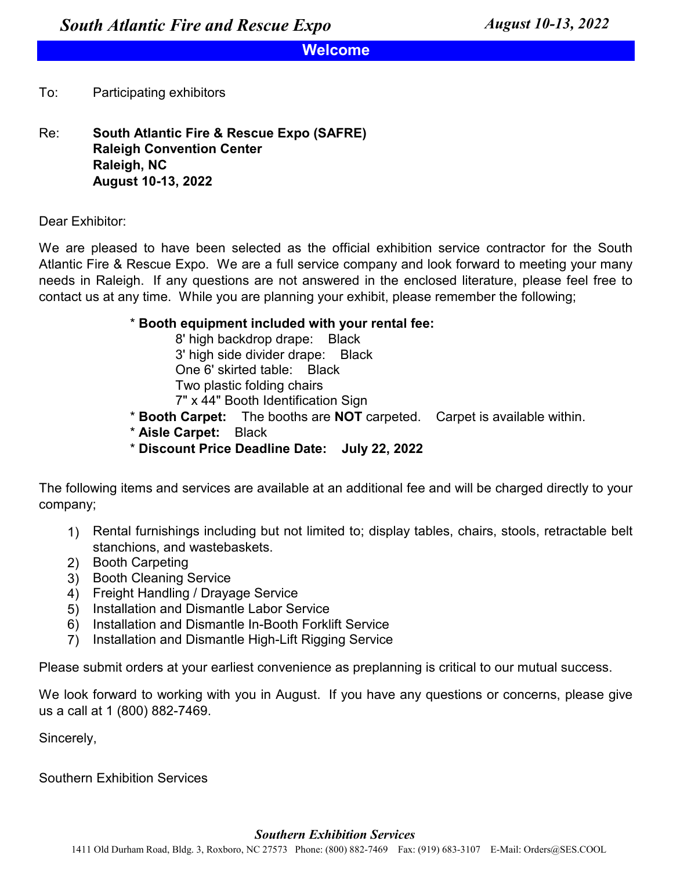# **Welcome**

### $To:$ Participating exhibitors

Re: **August 10-13, 2022 South Atlantic Fire & Rescue Expo (SAFRE) Raleigh Convention Center Raleigh, NC**

Dear Exhibitor:

We are pleased to have been selected as the official exhibition service contractor for the South Atlantic Fire & Rescue Expo. We are a full service company and look forward to meeting your many needs in Raleigh. If any questions are not answered in the enclosed literature, please feel free to contact us at any time. While you are planning your exhibit, please remember the following;

## \* **Booth equipment included with your rental fee:**

3' high side divider drape: Black One 6' skirted table: Black Two plastic folding chairs 7" x 44" Booth Identification Sign 8' high backdrop drape: Black

- \* **Booth Carpet:** The booths are **NOT** carpeted. Carpet is available within.
- \* **Aisle Carpet:** Black
- \* **Discount Price Deadline Date: July 22, 2022**

The following items and services are available at an additional fee and will be charged directly to your company;

- 1) Rental furnishings including but not limited to; display tables, chairs, stools, retractable belt stanchions, and wastebaskets.
- 2) Booth Carpeting
- 3) Booth Cleaning Service
- 4) Freight Handling / Drayage Service
- 5) Installation and Dismantle Labor Service
- 6) Installation and Dismantle In-Booth Forklift Service
- 7) Installation and Dismantle High-Lift Rigging Service

Please submit orders at your earliest convenience as preplanning is critical to our mutual success.

We look forward to working with you in August. If you have any questions or concerns, please give us a call at 1 (800) 882-7469.

Sincerely,

Southern Exhibition Services

## *Southern Exhibition Services*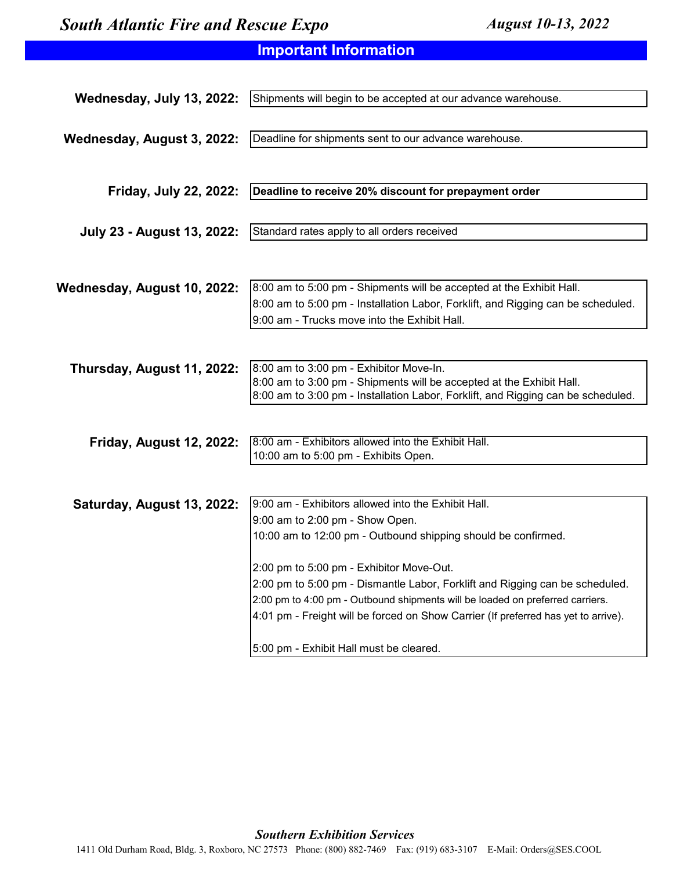# **Important Information**

| Wednesday, July 13, 2022:         | Shipments will begin to be accepted at our advance warehouse.                      |
|-----------------------------------|------------------------------------------------------------------------------------|
|                                   |                                                                                    |
| Wednesday, August 3, 2022:        | Deadline for shipments sent to our advance warehouse.                              |
|                                   |                                                                                    |
|                                   |                                                                                    |
|                                   |                                                                                    |
| Friday, July 22, 2022:            | Deadline to receive 20% discount for prepayment order                              |
|                                   |                                                                                    |
| <b>July 23 - August 13, 2022:</b> | Standard rates apply to all orders received                                        |
|                                   |                                                                                    |
|                                   |                                                                                    |
|                                   | 8:00 am to 5:00 pm - Shipments will be accepted at the Exhibit Hall.               |
| Wednesday, August 10, 2022:       |                                                                                    |
|                                   | 8:00 am to 5:00 pm - Installation Labor, Forklift, and Rigging can be scheduled.   |
|                                   | 9:00 am - Trucks move into the Exhibit Hall.                                       |
|                                   |                                                                                    |
|                                   | 8:00 am to 3:00 pm - Exhibitor Move-In.                                            |
| Thursday, August 11, 2022:        | 8:00 am to 3:00 pm - Shipments will be accepted at the Exhibit Hall.               |
|                                   | 8:00 am to 3:00 pm - Installation Labor, Forklift, and Rigging can be scheduled.   |
|                                   |                                                                                    |
|                                   |                                                                                    |
| <b>Friday, August 12, 2022:</b>   | 8:00 am - Exhibitors allowed into the Exhibit Hall.                                |
|                                   | 10:00 am to 5:00 pm - Exhibits Open.                                               |
|                                   |                                                                                    |
|                                   |                                                                                    |
| Saturday, August 13, 2022:        | 9:00 am - Exhibitors allowed into the Exhibit Hall.                                |
|                                   | 9:00 am to 2:00 pm - Show Open.                                                    |
|                                   | 10:00 am to 12:00 pm - Outbound shipping should be confirmed.                      |
|                                   |                                                                                    |
|                                   | 2:00 pm to 5:00 pm - Exhibitor Move-Out.                                           |
|                                   | 2:00 pm to 5:00 pm - Dismantle Labor, Forklift and Rigging can be scheduled.       |
|                                   | 2:00 pm to 4:00 pm - Outbound shipments will be loaded on preferred carriers.      |
|                                   | 4:01 pm - Freight will be forced on Show Carrier (If preferred has yet to arrive). |
|                                   |                                                                                    |
|                                   | 5:00 pm - Exhibit Hall must be cleared.                                            |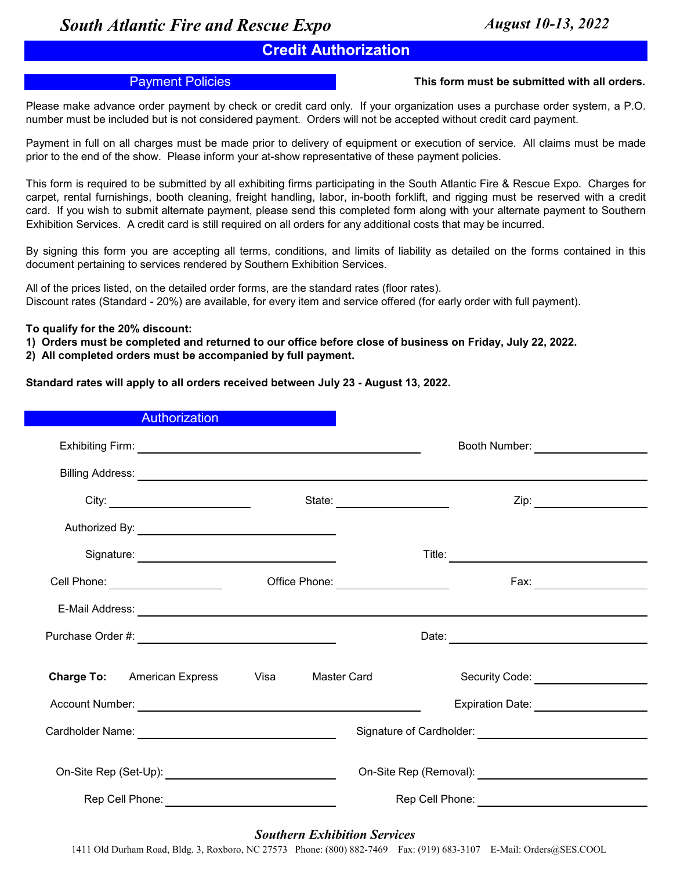# **Credit Authorization**

## Payment Policies **This form must be submitted with all orders.**

Please make advance order payment by check or credit card only. If your organization uses a purchase order system, a P.O. number must be included but is not considered payment. Orders will not be accepted without credit card payment.

Payment in full on all charges must be made prior to delivery of equipment or execution of service. All claims must be made prior to the end of the show. Please inform your at-show representative of these payment policies.

This form is required to be submitted by all exhibiting firms participating in the South Atlantic Fire & Rescue Expo. Charges for carpet, rental furnishings, booth cleaning, freight handling, labor, in-booth forklift, and rigging must be reserved with a credit card. If you wish to submit alternate payment, please send this completed form along with your alternate payment to Southern Exhibition Services. A credit card is still required on all orders for any additional costs that may be incurred.

By signing this form you are accepting all terms, conditions, and limits of liability as detailed on the forms contained in this document pertaining to services rendered by Southern Exhibition Services.

All of the prices listed, on the detailed order forms, are the standard rates (floor rates). Discount rates (Standard - 20%) are available, for every item and service offered (for early order with full payment).

**To qualify for the 20% discount:**

- **1) Orders must be completed and returned to our office before close of business on Friday, July 22, 2022.**
- **2) All completed orders must be accompanied by full payment.**

**Standard rates will apply to all orders received between July 23 - August 13, 2022.**

| <b>Authorization</b>                                       |             |                                            |                                                  |
|------------------------------------------------------------|-------------|--------------------------------------------|--------------------------------------------------|
|                                                            |             |                                            | Booth Number: _____________________              |
|                                                            |             |                                            |                                                  |
|                                                            |             |                                            |                                                  |
|                                                            |             |                                            |                                                  |
|                                                            |             |                                            |                                                  |
| Cell Phone: ____________________                           |             | Office Phone: <u>_____________________</u> | Fax: ________________________                    |
|                                                            |             |                                            |                                                  |
|                                                            |             |                                            |                                                  |
| <b>Charge To:</b> American Express                         | <b>Visa</b> | Master Card                                | Security Code: Security Code:                    |
|                                                            |             |                                            | Expiration Date: _____________________           |
|                                                            |             |                                            |                                                  |
| On-Site Rep (Set-Up): _______________________________      |             |                                            |                                                  |
| Rep Cell Phone: <u>_____________________________</u> _____ |             |                                            | Rep Cell Phone: ________________________________ |
|                                                            |             |                                            |                                                  |

## *Southern Exhibition Services*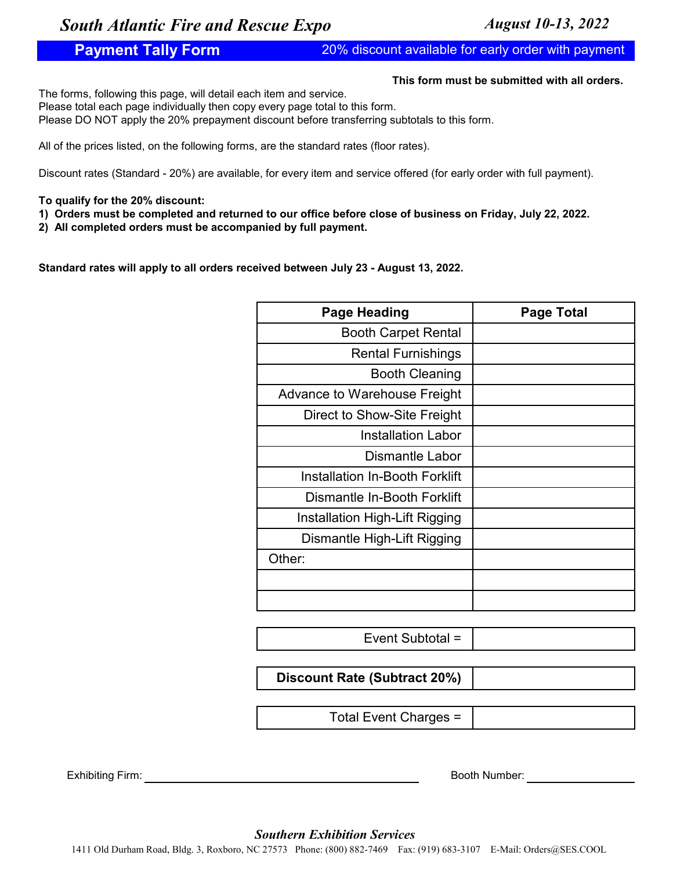# **Payment Tally Form** 20% discount available for early order with payment

## **This form must be submitted with all orders.**

The forms, following this page, will detail each item and service.

Please total each page individually then copy every page total to this form.

Please DO NOT apply the 20% prepayment discount before transferring subtotals to this form.

All of the prices listed, on the following forms, are the standard rates (floor rates).

Discount rates (Standard - 20%) are available, for every item and service offered (for early order with full payment).

## **To qualify for the 20% discount:**

**1) Orders must be completed and returned to our office before close of business on Friday, July 22, 2022.**

**2) All completed orders must be accompanied by full payment.**

**Standard rates will apply to all orders received between July 23 - August 13, 2022.**

| <b>Page Heading</b>                   | <b>Page Total</b> |
|---------------------------------------|-------------------|
| <b>Booth Carpet Rental</b>            |                   |
| <b>Rental Furnishings</b>             |                   |
| <b>Booth Cleaning</b>                 |                   |
| Advance to Warehouse Freight          |                   |
| Direct to Show-Site Freight           |                   |
| <b>Installation Labor</b>             |                   |
| <b>Dismantle Labor</b>                |                   |
| Installation In-Booth Forklift        |                   |
| Dismantle In-Booth Forklift           |                   |
| <b>Installation High-Lift Rigging</b> |                   |
| Dismantle High-Lift Rigging           |                   |
| Other:                                |                   |
|                                       |                   |
|                                       |                   |

Event Subtotal =

**Discount Rate (Subtract 20%)**

Total Event Charges =

Exhibiting Firm: Booth Number: Booth Number: Booth Number: Booth Number: Booth Number: Booth Number: Booth Number: Booth Number: Booth Number: Booth Number: Booth Number: Booth Number: Booth Number: Booth Number: Booth Num

*Southern Exhibition Services*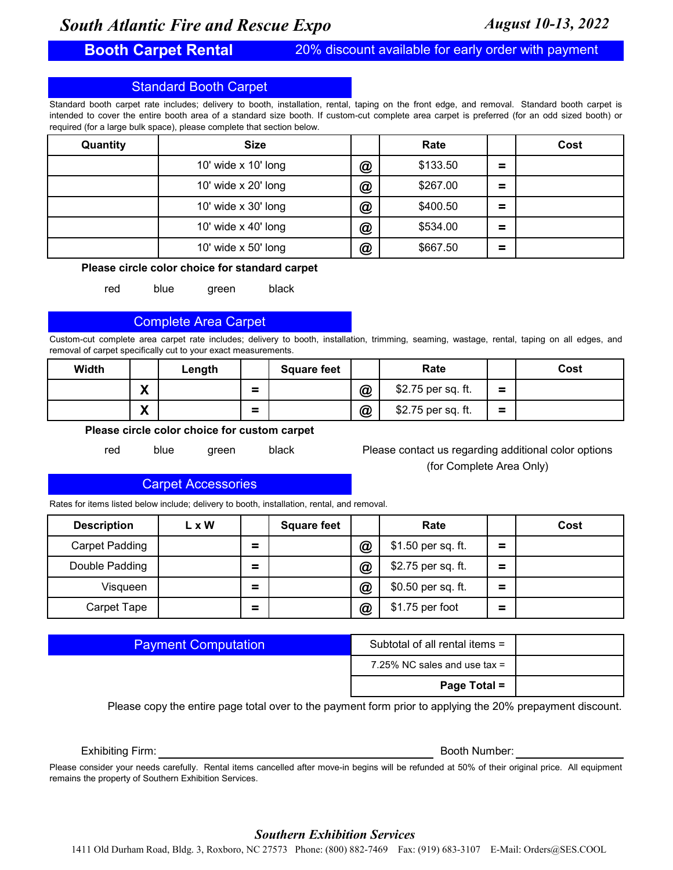# **Booth Carpet Rental**

20% discount available for early order with payment

## Standard Booth Carpet

Standard booth carpet rate includes; delivery to booth, installation, rental, taping on the front edge, and removal. Standard booth carpet is intended to cover the entire booth area of a standard size booth. If custom-cut complete area carpet is preferred (for an odd sized booth) or required (for a large bulk space), please complete that section below.

| Quantity | <b>Size</b>                |   | Rate     |          | Cost |
|----------|----------------------------|---|----------|----------|------|
|          | 10' wide $\times$ 10' long | @ | \$133.50 | =        |      |
|          | 10' wide x 20' long        | @ | \$267.00 | $\equiv$ |      |
|          | 10' wide $\times$ 30' long | @ | \$400.50 | $\equiv$ |      |
|          | 10' wide $\times$ 40' long | @ | \$534.00 | $\equiv$ |      |
|          | 10' wide $x$ 50' long      | @ | \$667.50 | Ξ        |      |

### **Please circle color choice for standard carpet**

red blue green black

## Complete Area Carpet

Custom-cut complete area carpet rate includes; delivery to booth, installation, trimming, seaming, wastage, rental, taping on all edges, and removal of carpet specifically cut to your exact measurements.

| Width |        | Length |                    | <b>Square feet</b> |                 | Rate               |                               | Cost |
|-------|--------|--------|--------------------|--------------------|-----------------|--------------------|-------------------------------|------|
|       | v<br>Λ |        | $\equiv$<br>$\sim$ |                    | $^{\copyright}$ | \$2.75 per sq. ft. | $\overline{\phantom{a}}$<br>- |      |
|       | v<br>Λ |        | $\equiv$<br>$\sim$ |                    | $\circleda$     | \$2.75 per sq. ft. | -<br>-                        |      |

**Please circle color choice for custom carpet**

red blue green black

Please contact us regarding additional color options (for Complete Area Only)

## Carpet Accessories

Rates for items listed below include; delivery to booth, installation, rental, and removal.

| <b>Description</b> | L x W |   | <b>Square feet</b> |              | Rate               |   | Cost |
|--------------------|-------|---|--------------------|--------------|--------------------|---|------|
| Carpet Padding     |       | = |                    | $^\circledR$ | \$1.50 per sq. ft. | = |      |
| Double Padding     |       | = |                    | $^\circledR$ | \$2.75 per sq. ft. | = |      |
| Visqueen           |       | = |                    | $^\circledR$ | \$0.50 per sq. ft. | Ξ |      |
| Carpet Tape        |       | = |                    | $\bm{a}$     | \$1.75 per foot    | = |      |

| <b>Payment Computation</b> |  |  |
|----------------------------|--|--|
|                            |  |  |
|                            |  |  |

| Subtotal of all rental items = |  |
|--------------------------------|--|
| 7.25% NC sales and use tax $=$ |  |
| Page Total =                   |  |

Please copy the entire page total over to the payment form prior to applying the 20% prepayment discount.

Exhibiting Firm: Booth Number: Booth Number:

Please consider your needs carefully. Rental items cancelled after move-in begins will be refunded at 50% of their original price. All equipment remains the property of Southern Exhibition Services.

## *Southern Exhibition Services*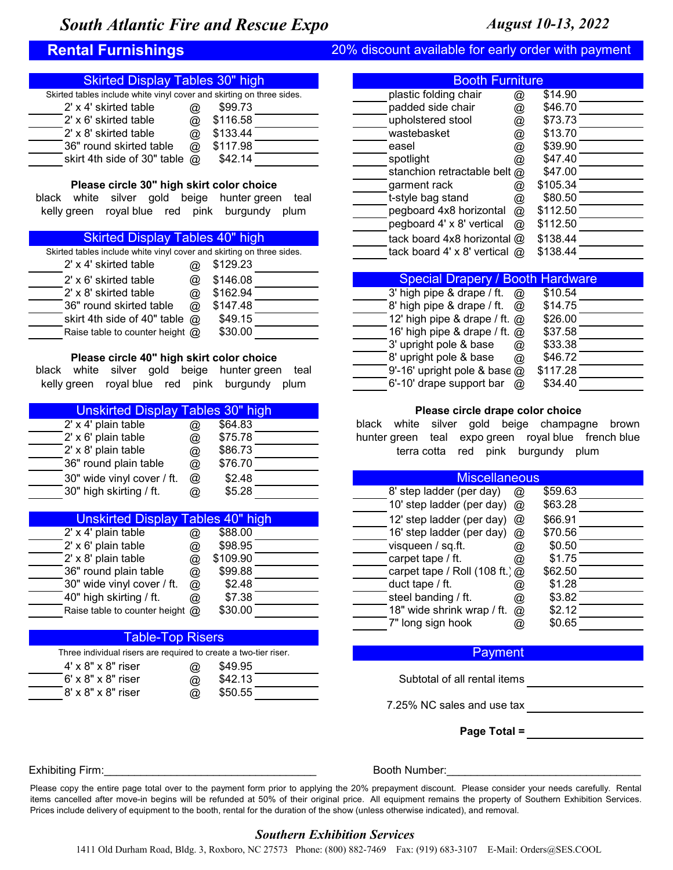## **Rental Furnishings** 20% discount available for early order with payment

| <b>Skirted Display Tables 30" high</b>                                | <b>Booth Furniture</b> |                                      |
|-----------------------------------------------------------------------|------------------------|--------------------------------------|
| Skirted tables include white vinyl cover and skirting on three sides. | plastic folding chair  | \$14.90<br>$^{\textregistered}$      |
| 2' x 4' skirted table<br>\$99.73<br>@                                 | padded side chair      | \$46.70<br>@                         |
| \$116.58<br>2' x 6' skirted table<br>@                                | upholstered stool      | \$73.73<br>@                         |
| 2' x 8' skirted table<br>\$133.44<br>@                                | wastebasket            | \$13.70<br>$^{\textregistered}$      |
| \$117.98<br>36" round skirted table<br>@                              | easel                  | \$39.90<br>@                         |
| skirt 4th side of 30" table $\omega$<br>\$42.14                       | spotlight              | \$47.40<br>$^\text{\textregistered}$ |
|                                                                       |                        |                                      |

### **Please circle 30" high skirt color choice**

black white silver gold beige hunter green teal kelly green royal blue red pink burgundy plum

## Skirted Display Tables 40" high

| Skirted tables include white vinyl cover and skirting on three sides. |          | tack board 4' x 8' vertical $@$ \$138.44        |
|-----------------------------------------------------------------------|----------|-------------------------------------------------|
| 2' x 4' skirted table<br>ര                                            | \$129.23 |                                                 |
| 2' x 6' skirted table<br>ω                                            | \$146.08 | <b>Special Drapery / Booth Hardw</b>            |
| 2' x 8' skirted table<br>ω                                            | \$162.94 | \$10.54<br>3' high pipe & drape / ft. $\omega$  |
| 36" round skirted table<br>@                                          | \$147.48 | \$14.75<br>8' high pipe & drape / ft. $\omega$  |
| skirt 4th side of 40" table $\omega$                                  | \$49.15  | 12' high pipe & drape / ft. $\omega$<br>\$26.00 |
| Raise table to counter height @                                       | \$30.00  | 16' high pipe & drape / ft. $@$<br>\$37.58      |

### **Please circle 40" high skirt color choice**

|  |  | black white silver gold beige hunter-green teal |  |
|--|--|-------------------------------------------------|--|
|  |  | kelly green royal blue red pink burgundy plum   |  |

| Unskirted Display Tables 30" high |                |         | Please circle drape color choic                 |
|-----------------------------------|----------------|---------|-------------------------------------------------|
| 2' x 4' plain table               | $\omega$       | \$64.83 | white silver gold beige champa<br>black         |
| $2' \times 6'$ plain table        | $\omega$       | \$75.78 | hunter green teal expo green<br>royal blue      |
| 2' x 8' plain table               | $\omega$       | \$86.73 | red pink burgundy<br>terra cotta                |
| 36" round plain table             | $\varpi$       | \$76.70 |                                                 |
| 30" wide vinyl cover / ft.        | $^{\circledR}$ | \$2.48  | <b>Miscellaneous</b>                            |
| 30" high skirting / ft.           | $\omega$       | \$5.28  | \$59.63<br>8' step ladder (per day)<br>$\varpi$ |

| Unskirted Display Tables 40" high                            | 12' step ladder (per day) $@$             | \$66.91 |
|--------------------------------------------------------------|-------------------------------------------|---------|
| 2' x 4' plain table<br>\$88.00<br>$^{\textregistered}$       | 16' step ladder (per day) $\omega$        | \$70.56 |
| 2' x 6' plain table<br>\$98.95<br>$^{\textregistered}$       | visqueen / sq.ft.<br>$^{\textregistered}$ | \$0.50  |
| \$109.90<br>2' x 8' plain table<br>@                         | carpet tape / ft.<br>@                    | \$1.75  |
| 36" round plain table<br>\$99.88<br>@                        | carpet tape / Roll (108 ft.) $\omega$     | \$62.50 |
| 30" wide vinyl cover / ft.<br>\$2.48<br>$^{\textregistered}$ | duct tape $/$ ft.<br>$\omega$             | \$1.28  |
| 40" high skirting / ft.<br>\$7.38<br>$^{\textregistered}$    | steel banding / ft.<br>@                  | \$3.82  |
| \$30.00<br>Raise table to counter height @                   | 18" wide shrink wrap / ft. @              | \$2.12  |

## Table-Top Risers

Three individual risers are required to create a two-tier riser.

| $4' \times 8'' \times 8''$ riser | $\omega$ | \$49.95 |  |
|----------------------------------|----------|---------|--|
| $6'$ x $8"$ x $8"$ riser         | $\omega$ | \$42.13 |  |
| $8' \times 8" \times 8"$ riser   | $\omega$ | \$50.55 |  |

| <b>Booth Furniture</b>               |                           |          |  |
|--------------------------------------|---------------------------|----------|--|
| plastic folding chair                | $^\text{\textregistered}$ | \$14.90  |  |
| padded side chair                    | @                         | \$46.70  |  |
| upholstered stool                    | @                         | \$73.73  |  |
| wastebasket                          | $^\text{\textregistered}$ | \$13.70  |  |
| easel                                | @                         | \$39.90  |  |
| spotlight                            | @                         | \$47.40  |  |
| stanchion retractable belt @         |                           | \$47.00  |  |
| garment rack                         | @                         | \$105.34 |  |
| t-style bag stand                    | @                         | \$80.50  |  |
| pegboard 4x8 horizontal              | @                         | \$112.50 |  |
| pegboard 4' x 8' vertical            | @                         | \$112.50 |  |
| tack board $4x8$ horizontal $@$      |                           | \$138.44 |  |
| tack board 4' x 8' vertical $\omega$ |                           | \$138.44 |  |
|                                      |                           |          |  |

| <b>Special Drapery / Booth Hardware</b> |                      |          |  |
|-----------------------------------------|----------------------|----------|--|
| 3' high pipe & drape / ft.              | $\omega$             | \$10.54  |  |
| 8' high pipe & drape / ft.              | $^{\textregistered}$ | \$14.75  |  |
| 12' high pipe & drape / ft. $@$         |                      | \$26.00  |  |
| 16' high pipe & drape / ft. $@$         |                      | \$37.58  |  |
| 3' upright pole & base                  | @                    | \$33.38  |  |
| 8' upright pole & base                  | @                    | \$46.72  |  |
| 9'-16' upright pole & base $@$          |                      | \$117.28 |  |
| 6'-10' drape support bar                | @                    | \$34.40  |  |
|                                         |                      |          |  |

### **Please circle drape color choice**

black white silver gold beige champagne brown hunter green teal expo green royal blue french blue terra cotta red pink burgundy plum

| <b>Miscellaneous</b>           |                           |         |  |  |  |  |  |
|--------------------------------|---------------------------|---------|--|--|--|--|--|
| 8' step ladder (per day)       | $^\text{\textregistered}$ | \$59.63 |  |  |  |  |  |
| 10' step ladder (per day)      | @                         | \$63.28 |  |  |  |  |  |
| 12' step ladder (per day)      | $^{\textregistered}$      | \$66.91 |  |  |  |  |  |
| 16' step ladder (per day)      | $^{\textregistered}$      | \$70.56 |  |  |  |  |  |
| visqueen / sq.ft.              | @                         | \$0.50  |  |  |  |  |  |
| carpet tape / ft.              | @                         | \$1.75  |  |  |  |  |  |
| carpet tape / Roll (108 ft.) @ |                           | \$62.50 |  |  |  |  |  |
| duct tape / ft.                | ω,                        | \$1.28  |  |  |  |  |  |
| steel banding / ft.            | @                         | \$3.82  |  |  |  |  |  |
| 18" wide shrink wrap / ft.     | @                         | \$2.12  |  |  |  |  |  |
| 7" long sign hook              |                           | \$0.65  |  |  |  |  |  |
|                                |                           |         |  |  |  |  |  |

## **Payment**

Subtotal of all rental items

7.25% NC sales and use tax

**Page Total =**

Exhibiting Firm:\_\_\_\_\_\_\_\_\_\_\_\_\_\_\_\_\_\_\_\_\_\_\_\_\_\_\_\_\_\_\_\_\_\_\_ Booth Number:\_\_\_\_\_\_\_\_\_\_\_\_\_\_\_\_\_\_\_\_\_\_\_\_\_\_\_\_\_\_\_\_

Please copy the entire page total over to the payment form prior to applying the 20% prepayment discount. Please consider your needs carefully. Rental items cancelled after move-in begins will be refunded at 50% of their original price. All equipment remains the property of Southern Exhibition Services. Prices include delivery of equipment to the booth, rental for the duration of the show (unless otherwise indicated), and removal.

## *Southern Exhibition Services*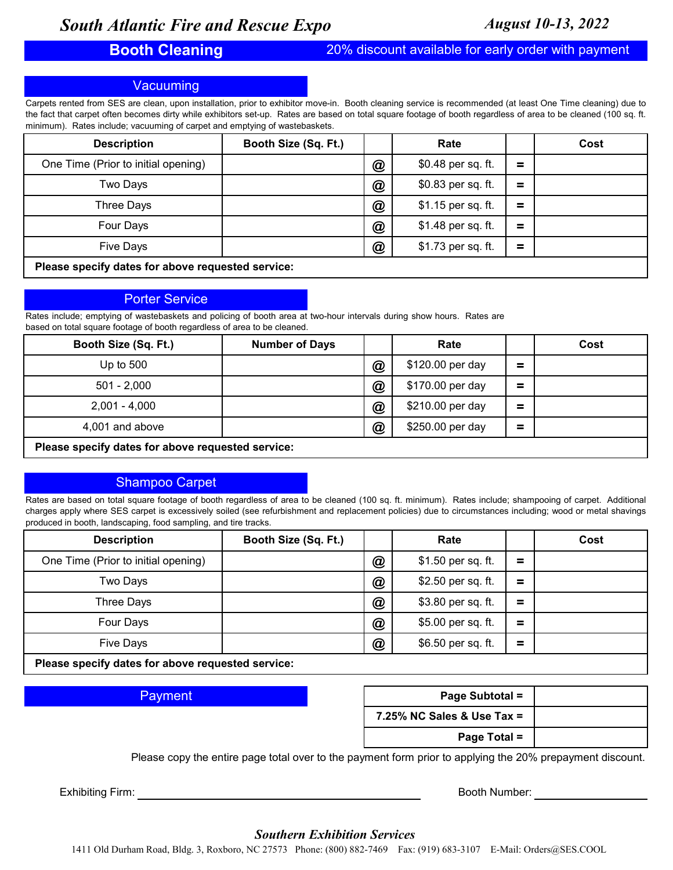## **Booth Cleaning** 20% discount available for early order with payment

## **Vacuuming**

Carpets rented from SES are clean, upon installation, prior to exhibitor move-in. Booth cleaning service is recommended (at least One Time cleaning) due to the fact that carpet often becomes dirty while exhibitors set-up. Rates are based on total square footage of booth regardless of area to be cleaned (100 sq. ft. minimum). Rates include; vacuuming of carpet and emptying of wastebaskets.

| <b>Description</b>                                | Booth Size (Sq. Ft.) |                 | Rate               |     | Cost |  |  |
|---------------------------------------------------|----------------------|-----------------|--------------------|-----|------|--|--|
| One Time (Prior to initial opening)               |                      | $^{\copyright}$ | \$0.48 per sq. ft. | Ξ   |      |  |  |
| Two Days                                          |                      | $^\circledR$    | \$0.83 per sq. ft. | =   |      |  |  |
| Three Days                                        |                      | $^{\copyright}$ | \$1.15 per sq. ft. | $=$ |      |  |  |
| Four Days                                         |                      | $^\circledR$    | \$1.48 per sq. ft. | =   |      |  |  |
| <b>Five Days</b>                                  |                      | $^\circledR$    | \$1.73 per sq. ft. | Ξ   |      |  |  |
| Please specify dates for above requested service: |                      |                 |                    |     |      |  |  |

## Porter Service

Rates include; emptying of wastebaskets and policing of booth area at two-hour intervals during show hours. Rates are based on total square footage of booth regardless of area to be cleaned.

| Booth Size (Sq. Ft.)                              | <b>Number of Days</b> |              | Rate             |     | Cost |  |
|---------------------------------------------------|-----------------------|--------------|------------------|-----|------|--|
| Up to $500$                                       |                       | $^\circledR$ | \$120.00 per day | =   |      |  |
| $501 - 2.000$                                     |                       | $\bm{a}$     | \$170.00 per day | =   |      |  |
| $2,001 - 4,000$                                   |                       | $\bm{a}$     | \$210.00 per day | $=$ |      |  |
| 4,001 and above                                   |                       | $\circleda$  | \$250.00 per day | =   |      |  |
| Please specify dates for above requested service: |                       |              |                  |     |      |  |

## Shampoo Carpet

Rates are based on total square footage of booth regardless of area to be cleaned (100 sq. ft. minimum). Rates include; shampooing of carpet. Additional charges apply where SES carpet is excessively soiled (see refurbishment and replacement policies) due to circumstances including; wood or metal shavings produced in booth, landscaping, food sampling, and tire tracks.

| <b>Description</b>                                                | Booth Size (Sq. Ft.) |                 | Rate               |          | Cost |
|-------------------------------------------------------------------|----------------------|-----------------|--------------------|----------|------|
| One Time (Prior to initial opening)                               |                      | $^\circledR$    | \$1.50 per sq. ft. | Ξ.       |      |
| Two Days                                                          |                      | $^{\copyright}$ | \$2.50 per sq. ft. | =        |      |
| Three Days                                                        |                      | $\circledR$     | \$3.80 per sq. ft. | Ξ.       |      |
| Four Days                                                         |                      | $\circledR$     | \$5.00 per sq. ft. | $\equiv$ |      |
| <b>Five Days</b>                                                  |                      | $^{\copyright}$ | \$6.50 per sq. ft. | $=$      |      |
| This case and although the first theory are consistent a constant |                      |                 |                    |          |      |

**Please specify dates for above requested service:**

## **Payment**

| Page Subtotal =               |  |
|-------------------------------|--|
| $7.25\%$ NC Sales & Use Tax = |  |
| Page Total =                  |  |

Please copy the entire page total over to the payment form prior to applying the 20% prepayment discount.

Exhibiting Firm: **Booth Number:** Booth Number:

## *Southern Exhibition Services*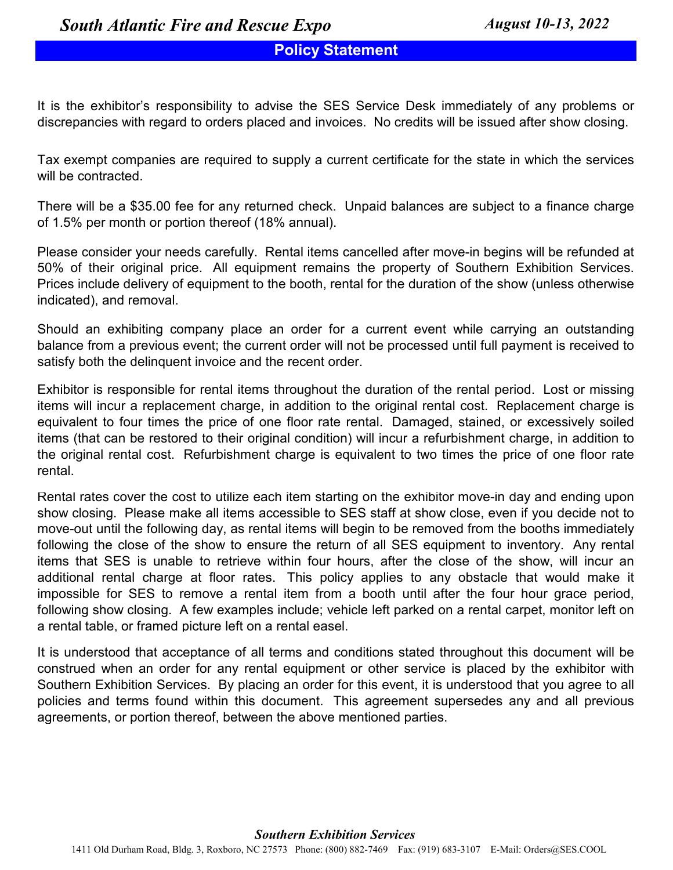# **Policy Statement**

It is the exhibitor's responsibility to advise the SES Service Desk immediately of any problems or discrepancies with regard to orders placed and invoices. No credits will be issued after show closing.

Tax exempt companies are required to supply a current certificate for the state in which the services will be contracted.

There will be a \$35.00 fee for any returned check. Unpaid balances are subject to a finance charge of 1.5% per month or portion thereof (18% annual).

Please consider your needs carefully. Rental items cancelled after move-in begins will be refunded at 50% of their original price. All equipment remains the property of Southern Exhibition Services. Prices include delivery of equipment to the booth, rental for the duration of the show (unless otherwise indicated), and removal.

Should an exhibiting company place an order for a current event while carrying an outstanding balance from a previous event; the current order will not be processed until full payment is received to satisfy both the delinquent invoice and the recent order.

Exhibitor is responsible for rental items throughout the duration of the rental period. Lost or missing items will incur a replacement charge, in addition to the original rental cost. Replacement charge is equivalent to four times the price of one floor rate rental. Damaged, stained, or excessively soiled items (that can be restored to their original condition) will incur a refurbishment charge, in addition to the original rental cost. Refurbishment charge is equivalent to two times the price of one floor rate rental.

Rental rates cover the cost to utilize each item starting on the exhibitor move-in day and ending upon show closing. Please make all items accessible to SES staff at show close, even if you decide not to move-out until the following day, as rental items will begin to be removed from the booths immediately following the close of the show to ensure the return of all SES equipment to inventory. Any rental items that SES is unable to retrieve within four hours, after the close of the show, will incur an additional rental charge at floor rates. This policy applies to any obstacle that would make it impossible for SES to remove a rental item from a booth until after the four hour grace period, following show closing. A few examples include; vehicle left parked on a rental carpet, monitor left on a rental table, or framed picture left on a rental easel.

It is understood that acceptance of all terms and conditions stated throughout this document will be construed when an order for any rental equipment or other service is placed by the exhibitor with Southern Exhibition Services. By placing an order for this event, it is understood that you agree to all policies and terms found within this document. This agreement supersedes any and all previous agreements, or portion thereof, between the above mentioned parties.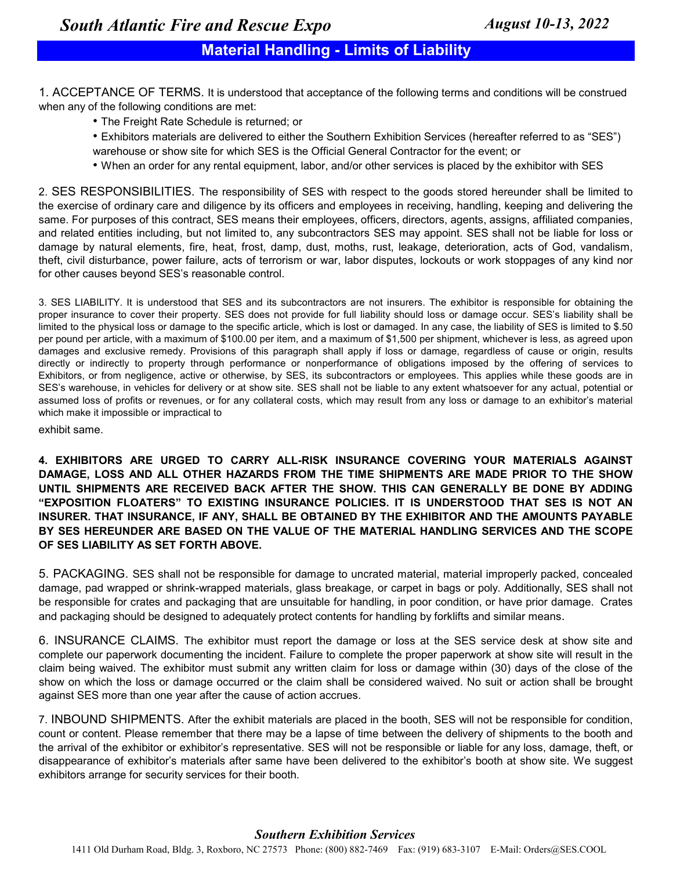# **Material Handling - Limits of Liability**

1. ACCEPTANCE OF TERMS. It is understood that acceptance of the following terms and conditions will be construed when any of the following conditions are met:

- The Freight Rate Schedule is returned; or
- Exhibitors materials are delivered to either the Southern Exhibition Services (hereafter referred to as "SES") warehouse or show site for which SES is the Official General Contractor for the event; or
- When an order for any rental equipment, labor, and/or other services is placed by the exhibitor with SES

2. SES RESPONSIBILITIES. The responsibility of SES with respect to the goods stored hereunder shall be limited to the exercise of ordinary care and diligence by its officers and employees in receiving, handling, keeping and delivering the same. For purposes of this contract, SES means their employees, officers, directors, agents, assigns, affiliated companies, and related entities including, but not limited to, any subcontractors SES may appoint. SES shall not be liable for loss or damage by natural elements, fire, heat, frost, damp, dust, moths, rust, leakage, deterioration, acts of God, vandalism, theft, civil disturbance, power failure, acts of terrorism or war, labor disputes, lockouts or work stoppages of any kind nor for other causes beyond SES's reasonable control.

3. SES LIABILITY. It is understood that SES and its subcontractors are not insurers. The exhibitor is responsible for obtaining the proper insurance to cover their property. SES does not provide for full liability should loss or damage occur. SES's liability shall be limited to the physical loss or damage to the specific article, which is lost or damaged. In any case, the liability of SES is limited to \$.50 per pound per article, with a maximum of \$100.00 per item, and a maximum of \$1,500 per shipment, whichever is less, as agreed upon damages and exclusive remedy. Provisions of this paragraph shall apply if loss or damage, regardless of cause or origin, results directly or indirectly to property through performance or nonperformance of obligations imposed by the offering of services to Exhibitors, or from negligence, active or otherwise, by SES, its subcontractors or employees. This applies while these goods are in SES's warehouse, in vehicles for delivery or at show site. SES shall not be liable to any extent whatsoever for any actual, potential or assumed loss of profits or revenues, or for any collateral costs, which may result from any loss or damage to an exhibitor's material which make it impossible or impractical to

exhibit same.

**4. EXHIBITORS ARE URGED TO CARRY ALL-RISK INSURANCE COVERING YOUR MATERIALS AGAINST DAMAGE, LOSS AND ALL OTHER HAZARDS FROM THE TIME SHIPMENTS ARE MADE PRIOR TO THE SHOW UNTIL SHIPMENTS ARE RECEIVED BACK AFTER THE SHOW. THIS CAN GENERALLY BE DONE BY ADDING "EXPOSITION FLOATERS" TO EXISTING INSURANCE POLICIES. IT IS UNDERSTOOD THAT SES IS NOT AN INSURER. THAT INSURANCE, IF ANY, SHALL BE OBTAINED BY THE EXHIBITOR AND THE AMOUNTS PAYABLE BY SES HEREUNDER ARE BASED ON THE VALUE OF THE MATERIAL HANDLING SERVICES AND THE SCOPE OF SES LIABILITY AS SET FORTH ABOVE.**

5. PACKAGING. SES shall not be responsible for damage to uncrated material, material improperly packed, concealed damage, pad wrapped or shrink-wrapped materials, glass breakage, or carpet in bags or poly. Additionally, SES shall not be responsible for crates and packaging that are unsuitable for handling, in poor condition, or have prior damage. Crates and packaging should be designed to adequately protect contents for handling by forklifts and similar means.

6. INSURANCE CLAIMS. The exhibitor must report the damage or loss at the SES service desk at show site and complete our paperwork documenting the incident. Failure to complete the proper paperwork at show site will result in the claim being waived. The exhibitor must submit any written claim for loss or damage within (30) days of the close of the show on which the loss or damage occurred or the claim shall be considered waived. No suit or action shall be brought against SES more than one year after the cause of action accrues.

7. INBOUND SHIPMENTS. After the exhibit materials are placed in the booth, SES will not be responsible for condition, count or content. Please remember that there may be a lapse of time between the delivery of shipments to the booth and the arrival of the exhibitor or exhibitor's representative. SES will not be responsible or liable for any loss, damage, theft, or disappearance of exhibitor's materials after same have been delivered to the exhibitor's booth at show site. We suggest exhibitors arrange for security services for their booth.

## *Southern Exhibition Services*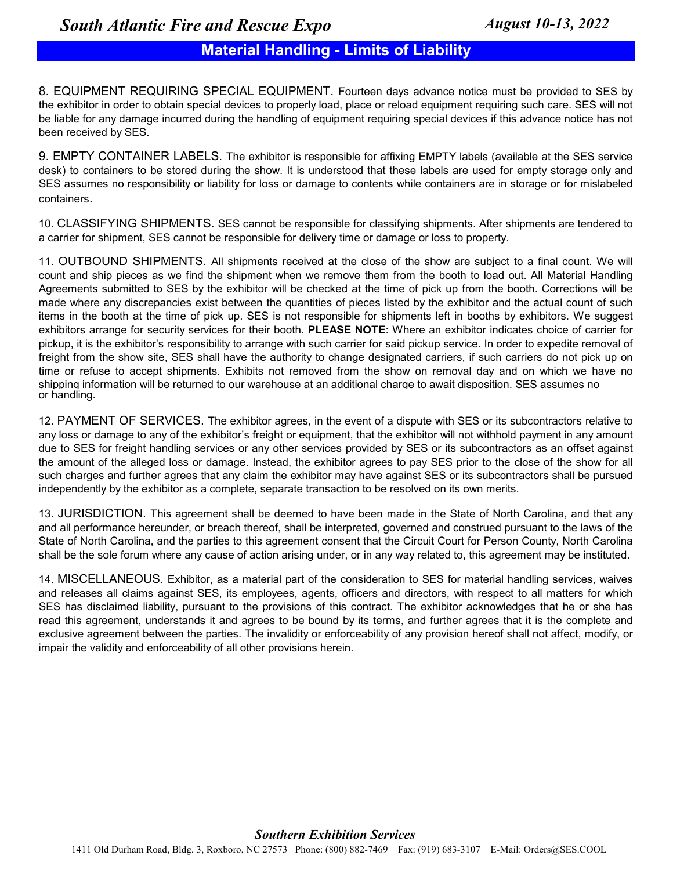# **Material Handling - Limits of Liability**

8. EQUIPMENT REQUIRING SPECIAL EQUIPMENT. Fourteen days advance notice must be provided to SES by the exhibitor in order to obtain special devices to properly load, place or reload equipment requiring such care. SES will not be liable for any damage incurred during the handling of equipment requiring special devices if this advance notice has not been received by SES.

9. EMPTY CONTAINER LABELS. The exhibitor is responsible for affixing EMPTY labels (available at the SES service desk) to containers to be stored during the show. It is understood that these labels are used for empty storage only and SES assumes no responsibility or liability for loss or damage to contents while containers are in storage or for mislabeled containers.

10. CLASSIFYING SHIPMENTS. SES cannot be responsible for classifying shipments. After shipments are tendered to a carrier for shipment, SES cannot be responsible for delivery time or damage or loss to property.

or handling. 11. OUTBOUND SHIPMENTS. All shipments received at the close of the show are subject to a final count. We will count and ship pieces as we find the shipment when we remove them from the booth to load out. All Material Handling Agreements submitted to SES by the exhibitor will be checked at the time of pick up from the booth. Corrections will be made where any discrepancies exist between the quantities of pieces listed by the exhibitor and the actual count of such items in the booth at the time of pick up. SES is not responsible for shipments left in booths by exhibitors. We suggest exhibitors arrange for security services for their booth. **PLEASE NOTE**: Where an exhibitor indicates choice of carrier for pickup, it is the exhibitor's responsibility to arrange with such carrier for said pickup service. In order to expedite removal of freight from the show site, SES shall have the authority to change designated carriers, if such carriers do not pick up on time or refuse to accept shipments. Exhibits not removed from the show on removal day and on which we have no shipping information will be returned to our warehouse at an additional charge to await disposition. SES assumes no

12. PAYMENT OF SERVICES. The exhibitor agrees, in the event of a dispute with SES or its subcontractors relative to any loss or damage to any of the exhibitor's freight or equipment, that the exhibitor will not withhold payment in any amount due to SES for freight handling services or any other services provided by SES or its subcontractors as an offset against the amount of the alleged loss or damage. Instead, the exhibitor agrees to pay SES prior to the close of the show for all such charges and further agrees that any claim the exhibitor may have against SES or its subcontractors shall be pursued independently by the exhibitor as a complete, separate transaction to be resolved on its own merits.

13. JURISDICTION. This agreement shall be deemed to have been made in the State of North Carolina, and that any and all performance hereunder, or breach thereof, shall be interpreted, governed and construed pursuant to the laws of the State of North Carolina, and the parties to this agreement consent that the Circuit Court for Person County, North Carolina shall be the sole forum where any cause of action arising under, or in any way related to, this agreement may be instituted.

14. MISCELLANEOUS. Exhibitor, as a material part of the consideration to SES for material handling services, waives and releases all claims against SES, its employees, agents, officers and directors, with respect to all matters for which SES has disclaimed liability, pursuant to the provisions of this contract. The exhibitor acknowledges that he or she has read this agreement, understands it and agrees to be bound by its terms, and further agrees that it is the complete and exclusive agreement between the parties. The invalidity or enforceability of any provision hereof shall not affect, modify, or impair the validity and enforceability of all other provisions herein.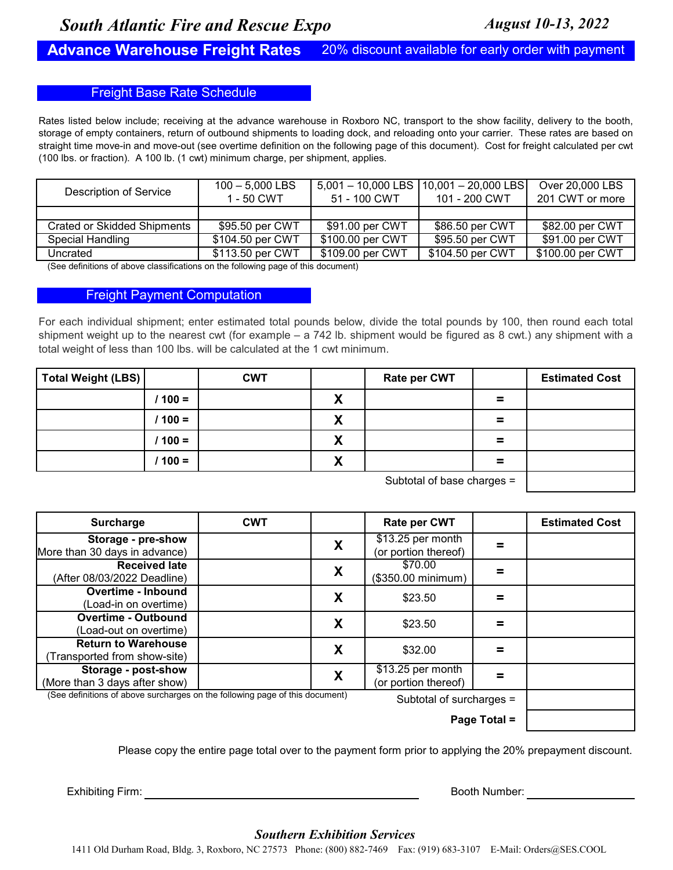## **Advance Warehouse Freight Rates**

20% discount available for early order with payment

## Freight Base Rate Schedule

Rates listed below include; receiving at the advance warehouse in Roxboro NC, transport to the show facility, delivery to the booth, storage of empty containers, return of outbound shipments to loading dock, and reloading onto your carrier. These rates are based on straight time move-in and move-out (see overtime definition on the following page of this document). Cost for freight calculated per cwt (100 lbs. or fraction). A 100 lb. (1 cwt) minimum charge, per shipment, applies.

| <b>Description of Service</b> | $100 - 5.000$ LBS<br>1 - 50 CWT | 51 - 100 CWT     | $5,001 - 10,000$ LBS $\vert 10,001 - 20,000$ LBS<br>101 - 200 CWT | Over 20,000 LBS<br>201 CWT or more |
|-------------------------------|---------------------------------|------------------|-------------------------------------------------------------------|------------------------------------|
|                               |                                 |                  |                                                                   |                                    |
| Crated or Skidded Shipments   | \$95.50 per CWT                 | \$91.00 per CWT  | \$86.50 per CWT                                                   | \$82.00 per CWT                    |
| Special Handling              | \$104.50 per CWT                | \$100.00 per CWT | \$95.50 per CWT                                                   | \$91.00 per CWT                    |
| Uncrated                      | \$113.50 per CWT                | \$109.00 per CWT | \$104.50 per CWT                                                  | \$100.00 per CWT                   |

(See definitions of above classifications on the following page of this document)

## Freight Payment Computation

For each individual shipment; enter estimated total pounds below, divide the total pounds by 100, then round each total shipment weight up to the nearest cwt (for example – a 742 lb. shipment would be figured as 8 cwt.) any shipment with a total weight of less than 100 lbs. will be calculated at the 1 cwt minimum.

| Total Weight (LBS) |          | <b>CWT</b> |                                | <b>Rate per CWT</b>                      |          | <b>Estimated Cost</b> |
|--------------------|----------|------------|--------------------------------|------------------------------------------|----------|-----------------------|
|                    | / 100 =  |            | v<br>Λ                         |                                          | $\equiv$ |                       |
|                    | $100 =$  |            | v<br>Λ                         |                                          | $\equiv$ |                       |
|                    | $1100 =$ |            | v<br>Λ                         |                                          | $\equiv$ |                       |
|                    | $100 =$  |            | Y<br>$\boldsymbol{\mathsf{A}}$ |                                          | $\equiv$ |                       |
|                    |          |            |                                | $C1$ behave the contract of honor $\sim$ |          |                       |

Subtotal of base charges =

| Surcharge                                                                    | <b>CWT</b> |   | <b>Rate per CWT</b>                               |  | <b>Estimated Cost</b> |
|------------------------------------------------------------------------------|------------|---|---------------------------------------------------|--|-----------------------|
| Storage - pre-show<br>More than 30 days in advance)                          |            | X | $\sqrt{$13.25}$ per month<br>(or portion thereof) |  |                       |
| <b>Received late</b><br>(After 08/03/2022 Deadline)                          |            | X | \$70.00<br>(\$350.00 minimum)                     |  |                       |
| <b>Overtime - Inbound</b><br>(Load-in on overtime)                           |            | X | \$23.50                                           |  |                       |
| <b>Overtime - Outbound</b><br>(Load-out on overtime)                         |            | Χ | \$23.50                                           |  |                       |
| <b>Return to Warehouse</b><br>Transported from show-site)                    |            | X | \$32.00                                           |  |                       |
| Storage - post-show<br>(More than 3 days after show)                         |            | X | \$13.25 per month<br>(or portion thereof)         |  |                       |
| (See definitions of above surcharges on the following page of this document) |            |   | Subtotal of surcharges =                          |  |                       |
|                                                                              |            |   |                                                   |  |                       |

Please copy the entire page total over to the payment form prior to applying the 20% prepayment discount.

Exhibiting Firm: Booth Number:

## *Southern Exhibition Services*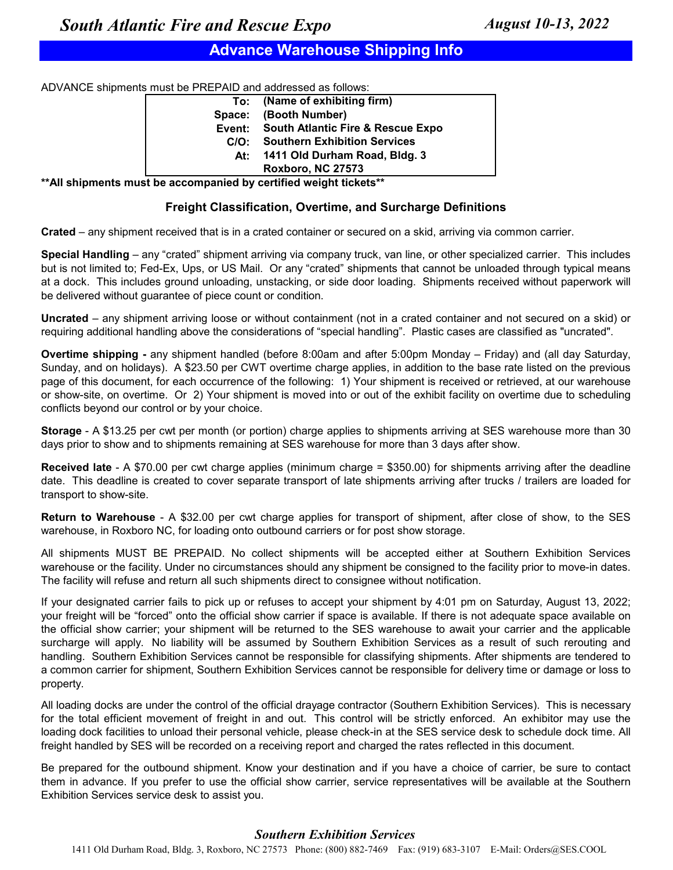# **Advance Warehouse Shipping Info**

ADVANCE shipments must be PREPAID and addressed as follows:

|        | To: (Name of exhibiting firm)            |
|--------|------------------------------------------|
| Space: | (Booth Number)                           |
|        | Event: South Atlantic Fire & Rescue Expo |
| C/O:   | <b>Southern Exhibition Services</b>      |
| At:    | 1411 Old Durham Road, Bldg. 3            |
|        | <b>Roxboro, NC 27573</b>                 |

**\*\*All shipments must be accompanied by certified weight tickets\*\***

## **Freight Classification, Overtime, and Surcharge Definitions**

**Crated** – any shipment received that is in a crated container or secured on a skid, arriving via common carrier.

**Special Handling** – any "crated" shipment arriving via company truck, van line, or other specialized carrier. This includes but is not limited to; Fed-Ex, Ups, or US Mail. Or any "crated" shipments that cannot be unloaded through typical means at a dock. This includes ground unloading, unstacking, or side door loading. Shipments received without paperwork will be delivered without guarantee of piece count or condition.

**Uncrated** – any shipment arriving loose or without containment (not in a crated container and not secured on a skid) or requiring additional handling above the considerations of "special handling". Plastic cases are classified as "uncrated".

**Overtime shipping -** any shipment handled (before 8:00am and after 5:00pm Monday – Friday) and (all day Saturday, Sunday, and on holidays). A \$23.50 per CWT overtime charge applies, in addition to the base rate listed on the previous page of this document, for each occurrence of the following: 1) Your shipment is received or retrieved, at our warehouse or show-site, on overtime. Or 2) Your shipment is moved into or out of the exhibit facility on overtime due to scheduling conflicts beyond our control or by your choice.

**Storage** - A \$13.25 per cwt per month (or portion) charge applies to shipments arriving at SES warehouse more than 30 days prior to show and to shipments remaining at SES warehouse for more than 3 days after show.

**Received late** - A \$70.00 per cwt charge applies (minimum charge = \$350.00) for shipments arriving after the deadline date. This deadline is created to cover separate transport of late shipments arriving after trucks / trailers are loaded for transport to show-site.

**Return to Warehouse** - A \$32.00 per cwt charge applies for transport of shipment, after close of show, to the SES warehouse, in Roxboro NC, for loading onto outbound carriers or for post show storage.

All shipments MUST BE PREPAID. No collect shipments will be accepted either at Southern Exhibition Services warehouse or the facility. Under no circumstances should any shipment be consigned to the facility prior to move-in dates. The facility will refuse and return all such shipments direct to consignee without notification.

If your designated carrier fails to pick up or refuses to accept your shipment by 4:01 pm on Saturday, August 13, 2022; your freight will be "forced" onto the official show carrier if space is available. If there is not adequate space available on the official show carrier; your shipment will be returned to the SES warehouse to await your carrier and the applicable surcharge will apply. No liability will be assumed by Southern Exhibition Services as a result of such rerouting and handling. Southern Exhibition Services cannot be responsible for classifying shipments. After shipments are tendered to a common carrier for shipment, Southern Exhibition Services cannot be responsible for delivery time or damage or loss to property.

All loading docks are under the control of the official drayage contractor (Southern Exhibition Services). This is necessary for the total efficient movement of freight in and out. This control will be strictly enforced. An exhibitor may use the loading dock facilities to unload their personal vehicle, please check-in at the SES service desk to schedule dock time. All freight handled by SES will be recorded on a receiving report and charged the rates reflected in this document.

Be prepared for the outbound shipment. Know your destination and if you have a choice of carrier, be sure to contact them in advance. If you prefer to use the official show carrier, service representatives will be available at the Southern Exhibition Services service desk to assist you.

## *Southern Exhibition Services*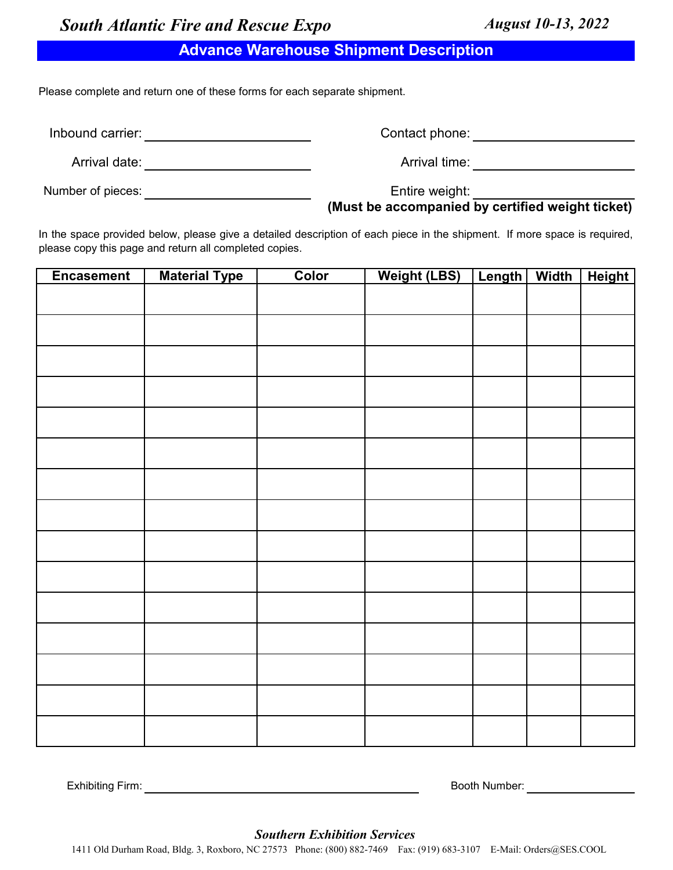# **Advance Warehouse Shipment Description**

Please complete and return one of these forms for each separate shipment.

Inbound carrier: **All any Server Control** 

Contact phone: example of the state of the state of the state of the state of the state of the state of the state of the state of the state of the state of the state of the state of the state of the state of the state of t

Arrival time:

Arrival date:

Number of pieces:

Entire weight:

**(Must be accompanied by certified weight ticket)**

In the space provided below, please give a detailed description of each piece in the shipment. If more space is required, please copy this page and return all completed copies.

| <b>Encasement</b> | <b>Material Type</b> | <u>Color</u> | <u>Weight (LBS)</u> | <u>Length   Width</u> | <u>Height</u> |
|-------------------|----------------------|--------------|---------------------|-----------------------|---------------|
|                   |                      |              |                     |                       |               |
|                   |                      |              |                     |                       |               |
|                   |                      |              |                     |                       |               |
|                   |                      |              |                     |                       |               |
|                   |                      |              |                     |                       |               |
|                   |                      |              |                     |                       |               |
|                   |                      |              |                     |                       |               |
|                   |                      |              |                     |                       |               |
|                   |                      |              |                     |                       |               |
|                   |                      |              |                     |                       |               |
|                   |                      |              |                     |                       |               |
|                   |                      |              |                     |                       |               |
|                   |                      |              |                     |                       |               |
|                   |                      |              |                     |                       |               |
|                   |                      |              |                     |                       |               |

Exhibiting Firm: Booth Number:

*Southern Exhibition Services*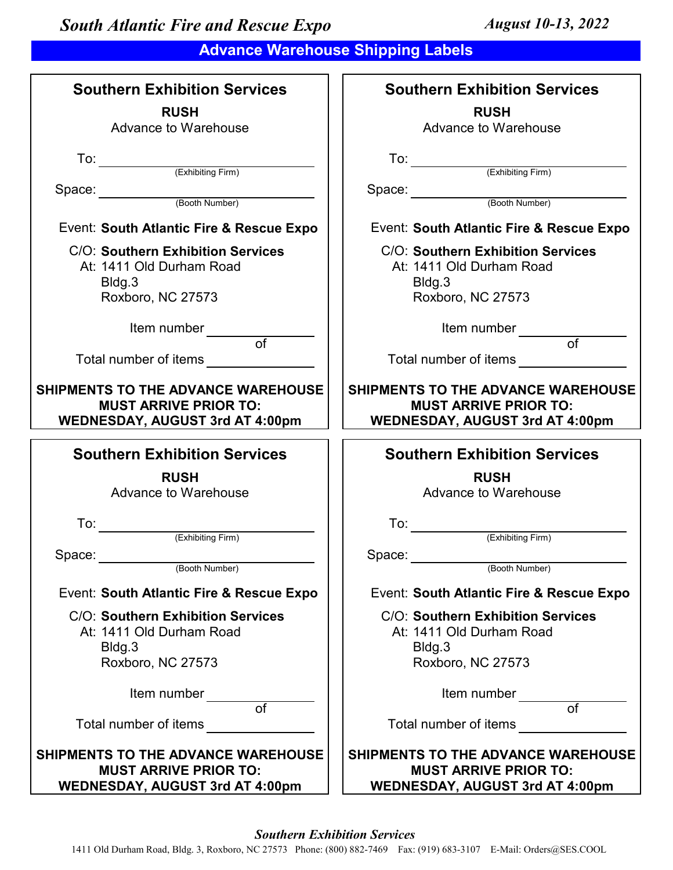# **Advance Warehouse Shipping Labels**

| <b>Southern Exhibition Services</b>                                                                                                                                                                                                  | <b>Southern Exhibition Services</b>                                                                                                                                                                                                  |
|--------------------------------------------------------------------------------------------------------------------------------------------------------------------------------------------------------------------------------------|--------------------------------------------------------------------------------------------------------------------------------------------------------------------------------------------------------------------------------------|
| <b>RUSH</b>                                                                                                                                                                                                                          | <b>RUSH</b>                                                                                                                                                                                                                          |
| Advance to Warehouse                                                                                                                                                                                                                 | Advance to Warehouse                                                                                                                                                                                                                 |
|                                                                                                                                                                                                                                      |                                                                                                                                                                                                                                      |
| To: <u>Ckhibiting</u> Firm                                                                                                                                                                                                           | To: (Exhibiting Firm)                                                                                                                                                                                                                |
|                                                                                                                                                                                                                                      |                                                                                                                                                                                                                                      |
| Space:<br>(Booth Number)                                                                                                                                                                                                             | Space: (Booth Number)                                                                                                                                                                                                                |
|                                                                                                                                                                                                                                      |                                                                                                                                                                                                                                      |
| Event: South Atlantic Fire & Rescue Expo                                                                                                                                                                                             | Event: South Atlantic Fire & Rescue Expo                                                                                                                                                                                             |
| C/O: Southern Exhibition Services                                                                                                                                                                                                    | C/O: Southern Exhibition Services                                                                                                                                                                                                    |
| At: 1411 Old Durham Road                                                                                                                                                                                                             | At: 1411 Old Durham Road                                                                                                                                                                                                             |
| Bldg.3                                                                                                                                                                                                                               | Bldg.3                                                                                                                                                                                                                               |
| Roxboro, NC 27573                                                                                                                                                                                                                    | Roxboro, NC 27573                                                                                                                                                                                                                    |
| Item number                                                                                                                                                                                                                          | Item number                                                                                                                                                                                                                          |
| $\overline{of}$                                                                                                                                                                                                                      | $\overline{of}$                                                                                                                                                                                                                      |
| Total number of items <b>with the control of the control of the control of the control of the control of the control of the control of the control of the control of the control of the control of the control of the control of</b> | Total number of items <b>with the set of the set of the set of the set of the set of the set of the set of the set of the set of the set of the set of the set of the set of the set of the set of the set of the set of the set</b> |
| SHIPMENTS TO THE ADVANCE WAREHOUSE                                                                                                                                                                                                   | <b>SHIPMENTS TO THE ADVANCE WAREHOUSE</b>                                                                                                                                                                                            |
| <b>MUST ARRIVE PRIOR TO:</b>                                                                                                                                                                                                         | <b>MUST ARRIVE PRIOR TO:</b>                                                                                                                                                                                                         |
| <b>WEDNESDAY, AUGUST 3rd AT 4:00pm</b>                                                                                                                                                                                               | <b>WEDNESDAY, AUGUST 3rd AT 4:00pm</b>                                                                                                                                                                                               |
|                                                                                                                                                                                                                                      |                                                                                                                                                                                                                                      |
| <b>Southern Exhibition Services</b>                                                                                                                                                                                                  |                                                                                                                                                                                                                                      |
|                                                                                                                                                                                                                                      | <b>Southern Exhibition Services</b>                                                                                                                                                                                                  |
| <b>RUSH</b>                                                                                                                                                                                                                          | <b>RUSH</b>                                                                                                                                                                                                                          |
| Advance to Warehouse                                                                                                                                                                                                                 | Advance to Warehouse                                                                                                                                                                                                                 |
|                                                                                                                                                                                                                                      |                                                                                                                                                                                                                                      |
| To:                                                                                                                                                                                                                                  | To: $\qquad \qquad \qquad$                                                                                                                                                                                                           |
| (Exhibiting Firm)                                                                                                                                                                                                                    | (Exhibiting Firm)                                                                                                                                                                                                                    |
| Space:                                                                                                                                                                                                                               | Space:                                                                                                                                                                                                                               |
| (Booth Number)                                                                                                                                                                                                                       | (Booth Number)                                                                                                                                                                                                                       |
| Event: South Atlantic Fire & Rescue Expo                                                                                                                                                                                             | Event: South Atlantic Fire & Rescue Expo                                                                                                                                                                                             |
| C/O: Southern Exhibition Services                                                                                                                                                                                                    | C/O: Southern Exhibition Services                                                                                                                                                                                                    |
| At: 1411 Old Durham Road                                                                                                                                                                                                             | At: 1411 Old Durham Road                                                                                                                                                                                                             |
| Bldg.3                                                                                                                                                                                                                               | Bldg.3                                                                                                                                                                                                                               |
| Roxboro, NC 27573                                                                                                                                                                                                                    | Roxboro, NC 27573                                                                                                                                                                                                                    |
|                                                                                                                                                                                                                                      |                                                                                                                                                                                                                                      |
| Item number                                                                                                                                                                                                                          | Item number                                                                                                                                                                                                                          |
| of                                                                                                                                                                                                                                   | of                                                                                                                                                                                                                                   |
| Total number of items                                                                                                                                                                                                                | Total number of items                                                                                                                                                                                                                |
| SHIPMENTS TO THE ADVANCE WAREHOUSE                                                                                                                                                                                                   | SHIPMENTS TO THE ADVANCE WAREHOUSE                                                                                                                                                                                                   |
| <b>MUST ARRIVE PRIOR TO:</b>                                                                                                                                                                                                         | <b>MUST ARRIVE PRIOR TO:</b>                                                                                                                                                                                                         |

## *Southern Exhibition Services*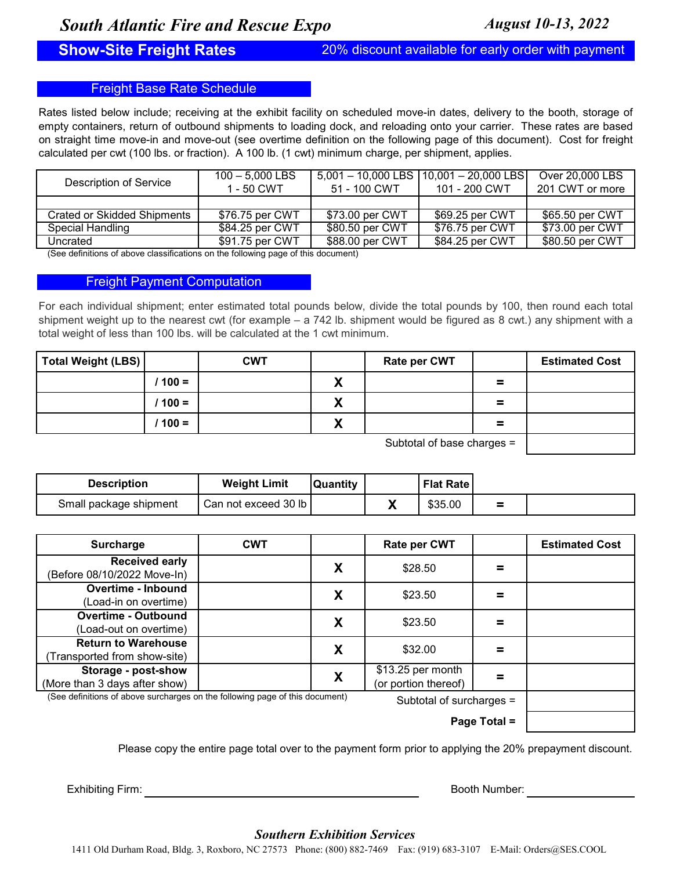**Show-Site Freight Rates** 20% discount available for early order with payment

## Freight Base Rate Schedule

Rates listed below include; receiving at the exhibit facility on scheduled move-in dates, delivery to the booth, storage of empty containers, return of outbound shipments to loading dock, and reloading onto your carrier. These rates are based on straight time move-in and move-out (see overtime definition on the following page of this document). Cost for freight calculated per cwt (100 lbs. or fraction). A 100 lb. (1 cwt) minimum charge, per shipment, applies.

| Description of Service      | $100 - 5.000$ LBS<br>1 - 50 CWT | 51 - 100 CWT    | $5,001 - 10,000$ LBS $(10,001 - 20,000$ LBS<br>101 - 200 CWT | Over 20,000 LBS<br>201 CWT or more |
|-----------------------------|---------------------------------|-----------------|--------------------------------------------------------------|------------------------------------|
|                             |                                 |                 |                                                              |                                    |
| Crated or Skidded Shipments | \$76.75 per CWT                 | \$73.00 per CWT | \$69.25 per CWT                                              | \$65.50 per CWT                    |
| Special Handling            | \$84.25 per CWT                 | \$80.50 per CWT | \$76.75 per CWT                                              | \$73.00 per CWT                    |
| Uncrated                    | \$91.75 per CWT                 | \$88.00 per CWT | \$84.25 per CWT                                              | \$80.50 per CWT                    |

(See definitions of above classifications on the following page of this document)

## Freight Payment Computation

For each individual shipment; enter estimated total pounds below, divide the total pounds by 100, then round each total shipment weight up to the nearest cwt (for example – a 742 lb. shipment would be figured as 8 cwt.) any shipment with a total weight of less than 100 lbs. will be calculated at the 1 cwt minimum.

| Total Weight (LBS) |         | <b>CWT</b> |        | <b>Rate per CWT</b>             |          | <b>Estimated Cost</b> |
|--------------------|---------|------------|--------|---------------------------------|----------|-----------------------|
|                    | $100 =$ |            | v<br>Λ |                                 | =        |                       |
|                    | $100 =$ |            | v<br>Λ |                                 | $\equiv$ |                       |
|                    | $100 =$ |            | X      |                                 | $\equiv$ |                       |
|                    |         |            |        | $l$ uhtotol of hono oborgon $-$ |          |                       |

Subtotal of base charges =

| <b>Description</b>     | <b>Weight Limit</b>  | <b>Quantity</b> |         | <b>Flat Rate</b> |          |  |
|------------------------|----------------------|-----------------|---------|------------------|----------|--|
| Small package shipment | Can not exceed 30 lb |                 | 14<br>Λ | \$35.00          | $\equiv$ |  |

| <b>Surcharge</b>                                                             | <b>CWT</b> |   | <b>Rate per CWT</b>                       |              | <b>Estimated Cost</b> |
|------------------------------------------------------------------------------|------------|---|-------------------------------------------|--------------|-----------------------|
| <b>Received early</b><br>(Before 08/10/2022 Move-In)                         |            | X | \$28.50                                   |              |                       |
| Overtime - Inbound<br>(Load-in on overtime)                                  |            | X | \$23.50                                   |              |                       |
| <b>Overtime - Outbound</b><br>(Load-out on overtime)                         |            | X | \$23.50                                   |              |                       |
| <b>Return to Warehouse</b><br>Transported from show-site)                    |            | X | \$32.00                                   |              |                       |
| Storage - post-show<br>(More than 3 days after show)                         |            | X | \$13.25 per month<br>(or portion thereof) |              |                       |
| (See definitions of above surcharges on the following page of this document) |            |   | Subtotal of surcharges =                  |              |                       |
|                                                                              |            |   |                                           | Page Total = |                       |

Please copy the entire page total over to the payment form prior to applying the 20% prepayment discount.

Exhibiting Firm: **Booth Number:** Booth Number:

## *Southern Exhibition Services*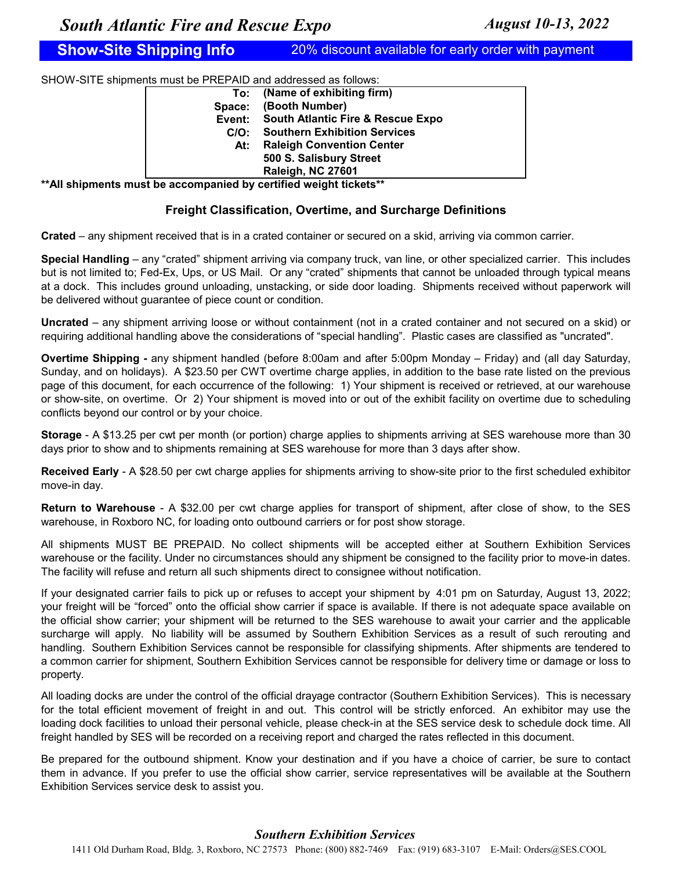**Show-Site Shipping Info** 20% discount available for early order with payment

SHOW-SITE shipments must be PREPAID and addressed as follows:

|        | To: (Name of exhibiting firm)            |
|--------|------------------------------------------|
| Space: | (Booth Number)                           |
|        | Event: South Atlantic Fire & Rescue Expo |
| C/O:   | <b>Southern Exhibition Services</b>      |
| At:    | <b>Raleigh Convention Center</b>         |
|        | 500 S. Salisbury Street                  |
|        | Raleigh, NC 27601                        |

**\*\*All shipments must be accompanied by certified weight tickets\*\***

## **Freight Classification, Overtime, and Surcharge Definitions**

**Crated** – any shipment received that is in a crated container or secured on a skid, arriving via common carrier.

**Special Handling** – any "crated" shipment arriving via company truck, van line, or other specialized carrier. This includes but is not limited to; Fed-Ex, Ups, or US Mail. Or any "crated" shipments that cannot be unloaded through typical means at a dock. This includes ground unloading, unstacking, or side door loading. Shipments received without paperwork will be delivered without guarantee of piece count or condition.

**Uncrated** – any shipment arriving loose or without containment (not in a crated container and not secured on a skid) or requiring additional handling above the considerations of "special handling". Plastic cases are classified as "uncrated".

**Overtime Shipping -** any shipment handled (before 8:00am and after 5:00pm Monday – Friday) and (all day Saturday, Sunday, and on holidays). A \$23.50 per CWT overtime charge applies, in addition to the base rate listed on the previous page of this document, for each occurrence of the following: 1) Your shipment is received or retrieved, at our warehouse or show-site, on overtime. Or 2) Your shipment is moved into or out of the exhibit facility on overtime due to scheduling conflicts beyond our control or by your choice.

**Storage** - A \$13.25 per cwt per month (or portion) charge applies to shipments arriving at SES warehouse more than 30 days prior to show and to shipments remaining at SES warehouse for more than 3 days after show.

**Received Early** - A \$28.50 per cwt charge applies for shipments arriving to show-site prior to the first scheduled exhibitor move-in day.

**Return to Warehouse** - A \$32.00 per cwt charge applies for transport of shipment, after close of show, to the SES warehouse, in Roxboro NC, for loading onto outbound carriers or for post show storage.

All shipments MUST BE PREPAID. No collect shipments will be accepted either at Southern Exhibition Services warehouse or the facility. Under no circumstances should any shipment be consigned to the facility prior to move-in dates. The facility will refuse and return all such shipments direct to consignee without notification.

If your designated carrier fails to pick up or refuses to accept your shipment by 4:01 pm on Saturday, August 13, 2022; your freight will be "forced" onto the official show carrier if space is available. If there is not adequate space available on the official show carrier; your shipment will be returned to the SES warehouse to await your carrier and the applicable surcharge will apply. No liability will be assumed by Southern Exhibition Services as a result of such rerouting and handling. Southern Exhibition Services cannot be responsible for classifying shipments. After shipments are tendered to a common carrier for shipment, Southern Exhibition Services cannot be responsible for delivery time or damage or loss to property.

All loading docks are under the control of the official drayage contractor (Southern Exhibition Services). This is necessary for the total efficient movement of freight in and out. This control will be strictly enforced. An exhibitor may use the loading dock facilities to unload their personal vehicle, please check-in at the SES service desk to schedule dock time. All freight handled by SES will be recorded on a receiving report and charged the rates reflected in this document.

Be prepared for the outbound shipment. Know your destination and if you have a choice of carrier, be sure to contact them in advance. If you prefer to use the official show carrier, service representatives will be available at the Southern Exhibition Services service desk to assist you.

## *Southern Exhibition Services*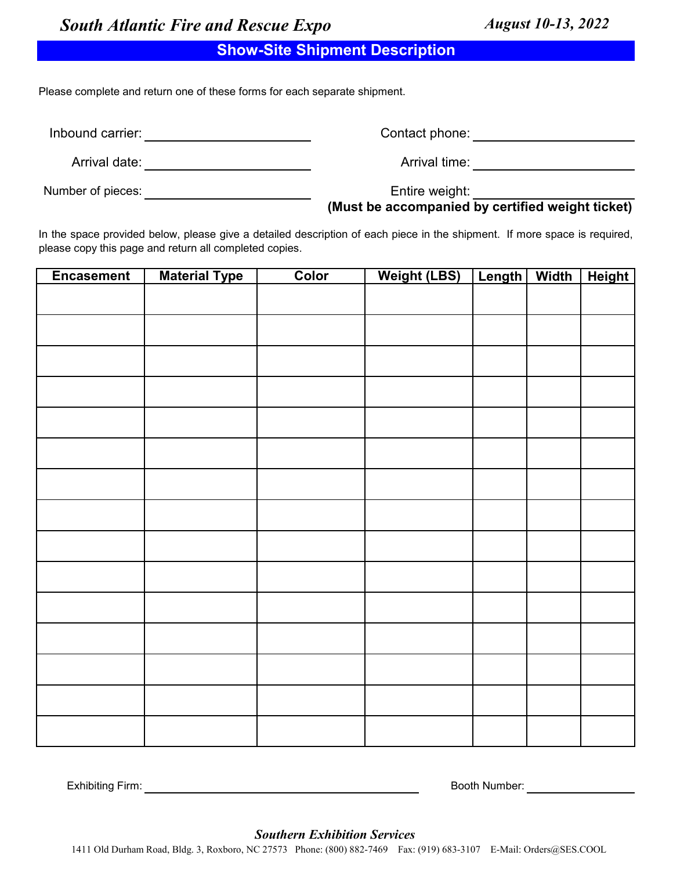# **Show-Site Shipment Description**

Please complete and return one of these forms for each separate shipment.

Inbound carrier: **All any Server Control** 

Contact phone: example of the state of the state of the state of the state of the state of the state of the state of the state of the state of the state of the state of the state of the state of the state of the state of t

Arrival time:

Arrival date:

Number of pieces:

Entire weight:

**(Must be accompanied by certified weight ticket)**

In the space provided below, please give a detailed description of each piece in the shipment. If more space is required, please copy this page and return all completed copies.

| <b>Encasement</b> | <b>Material Type</b> | Color | <b>Weight (LBS)</b> | Length | <b>Width</b> | <b>Height</b> |
|-------------------|----------------------|-------|---------------------|--------|--------------|---------------|
|                   |                      |       |                     |        |              |               |
|                   |                      |       |                     |        |              |               |
|                   |                      |       |                     |        |              |               |
|                   |                      |       |                     |        |              |               |
|                   |                      |       |                     |        |              |               |
|                   |                      |       |                     |        |              |               |
|                   |                      |       |                     |        |              |               |
|                   |                      |       |                     |        |              |               |
|                   |                      |       |                     |        |              |               |
|                   |                      |       |                     |        |              |               |
|                   |                      |       |                     |        |              |               |
|                   |                      |       |                     |        |              |               |
|                   |                      |       |                     |        |              |               |
|                   |                      |       |                     |        |              |               |
|                   |                      |       |                     |        |              |               |

Exhibiting Firm: Booth Number:

*Southern Exhibition Services*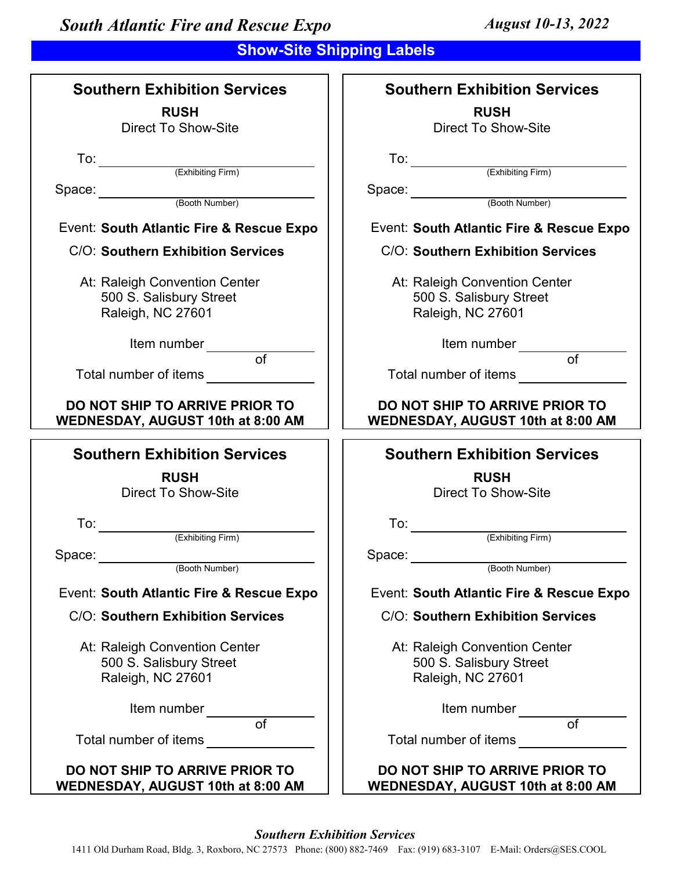# **Show-Site Shipping Labels**

| <b>Southern Exhibition Services</b>                                                                                                                                                                                                  | <b>Southern Exhibition Services</b>                                        |
|--------------------------------------------------------------------------------------------------------------------------------------------------------------------------------------------------------------------------------------|----------------------------------------------------------------------------|
| <b>RUSH</b>                                                                                                                                                                                                                          | <b>RUSH</b>                                                                |
| <b>Direct To Show-Site</b>                                                                                                                                                                                                           | <b>Direct To Show-Site</b>                                                 |
|                                                                                                                                                                                                                                      |                                                                            |
| To: $\qquad \qquad \qquad$                                                                                                                                                                                                           |                                                                            |
| (Exhibiting Firm)                                                                                                                                                                                                                    | To: (Exhibiting Firm)                                                      |
| Space: (Booth Number)                                                                                                                                                                                                                | Space: (Booth Number)                                                      |
|                                                                                                                                                                                                                                      |                                                                            |
| Event: South Atlantic Fire & Rescue Expo                                                                                                                                                                                             | Event: South Atlantic Fire & Rescue Expo                                   |
| C/O: Southern Exhibition Services                                                                                                                                                                                                    | C/O: Southern Exhibition Services                                          |
| At: Raleigh Convention Center                                                                                                                                                                                                        | At: Raleigh Convention Center                                              |
| 500 S. Salisbury Street                                                                                                                                                                                                              | 500 S. Salisbury Street                                                    |
| Raleigh, NC 27601                                                                                                                                                                                                                    | Raleigh, NC 27601                                                          |
|                                                                                                                                                                                                                                      |                                                                            |
| Item number                                                                                                                                                                                                                          | Item number                                                                |
| $\overline{of}$                                                                                                                                                                                                                      | $\overline{of}$                                                            |
| Total number of items <b>with the manufacture of the manufacture of the manufacture of the manufacture of the manufacture of the manufacture of the manufacture of the manufacture of the manufacture of the manufacture of the </b> | Total number of items ____________                                         |
| DO NOT SHIP TO ARRIVE PRIOR TO                                                                                                                                                                                                       | <b>DO NOT SHIP TO ARRIVE PRIOR TO</b>                                      |
| WEDNESDAY, AUGUST 10th at 8:00 AM                                                                                                                                                                                                    | WEDNESDAY, AUGUST 10th at 8:00 AM                                          |
| <b>Southern Exhibition Services</b>                                                                                                                                                                                                  | <b>Southern Exhibition Services</b>                                        |
| <b>RUSH</b>                                                                                                                                                                                                                          | <b>RUSH</b>                                                                |
| <b>Direct To Show-Site</b>                                                                                                                                                                                                           |                                                                            |
|                                                                                                                                                                                                                                      | <b>Direct To Show-Site</b>                                                 |
|                                                                                                                                                                                                                                      |                                                                            |
| To:                                                                                                                                                                                                                                  | To:                                                                        |
| (Exhibiting Firm)                                                                                                                                                                                                                    | (Exhibiting Firm)                                                          |
| Space:                                                                                                                                                                                                                               | Space:                                                                     |
| (Booth Number)                                                                                                                                                                                                                       | (Booth Number)                                                             |
| Event: South Atlantic Fire & Rescue Expo                                                                                                                                                                                             | Event: South Atlantic Fire & Rescue Expo                                   |
| C/O: Southern Exhibition Services                                                                                                                                                                                                    | C/O: Southern Exhibition Services                                          |
|                                                                                                                                                                                                                                      |                                                                            |
| At: Raleigh Convention Center                                                                                                                                                                                                        | At: Raleigh Convention Center                                              |
| 500 S. Salisbury Street                                                                                                                                                                                                              | 500 S. Salisbury Street                                                    |
| Raleigh, NC 27601                                                                                                                                                                                                                    | Raleigh, NC 27601                                                          |
| Item number                                                                                                                                                                                                                          | Item number                                                                |
| $\overline{of}$                                                                                                                                                                                                                      | $\overline{of}$                                                            |
| Total number of items                                                                                                                                                                                                                | Total number of items                                                      |
|                                                                                                                                                                                                                                      |                                                                            |
| DO NOT SHIP TO ARRIVE PRIOR TO<br><b>WEDNESDAY, AUGUST 10th at 8:00 AM</b>                                                                                                                                                           | DO NOT SHIP TO ARRIVE PRIOR TO<br><b>WEDNESDAY, AUGUST 10th at 8:00 AM</b> |

## *Southern Exhibition Services*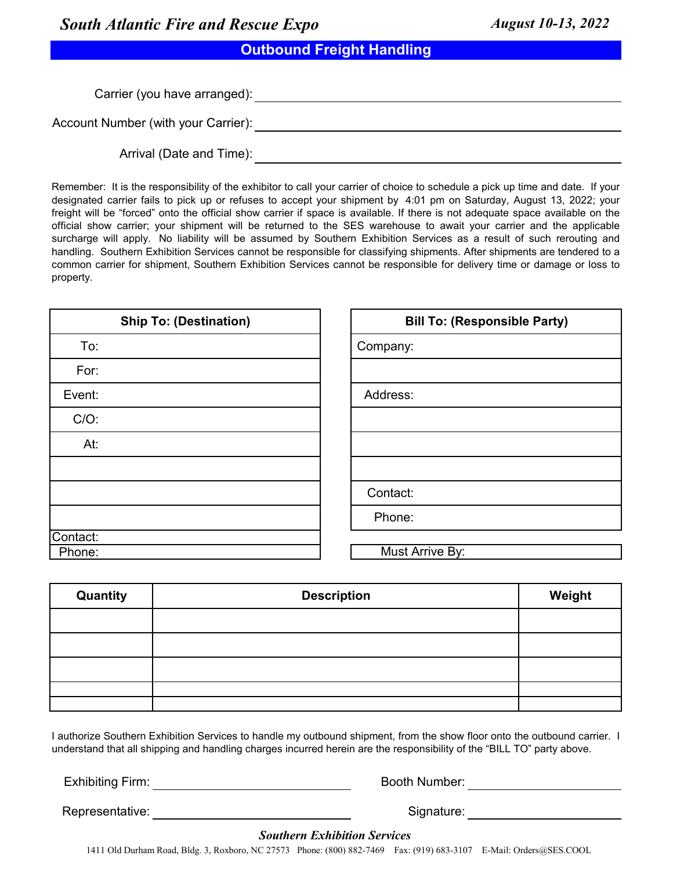**Outbound Freight Handling**

Carrier (you have arranged): Account Number (with your Carrier): Account Number (with your Carrier):

Arrival (Date and Time):

Remember: It is the responsibility of the exhibitor to call your carrier of choice to schedule a pick up time and date. If your designated carrier fails to pick up or refuses to accept your shipment by 4:01 pm on Saturday, August 13, 2022; your freight will be "forced" onto the official show carrier if space is available. If there is not adequate space available on the official show carrier; your shipment will be returned to the SES warehouse to await your carrier and the applicable surcharge will apply. No liability will be assumed by Southern Exhibition Services as a result of such rerouting and handling. Southern Exhibition Services cannot be responsible for classifying shipments. After shipments are tendered to a common carrier for shipment, Southern Exhibition Services cannot be responsible for delivery time or damage or loss to property.

| <b>Ship To: (Destination)</b> | <b>Bill To: (Responsible Party)</b> |
|-------------------------------|-------------------------------------|
| To:                           | Company:                            |
| For:                          |                                     |
| Event:                        | Address:                            |
| $C/O$ :                       |                                     |
| At:                           |                                     |
|                               |                                     |
|                               | Contact:                            |
|                               | Phone:                              |
| Contact:                      |                                     |
| Phone:                        | Must Arrive By:                     |

| <b>Quantity</b> | <b>Description</b> | Weight |
|-----------------|--------------------|--------|
|                 |                    |        |
|                 |                    |        |
|                 |                    |        |
|                 |                    |        |
|                 |                    |        |

I authorize Southern Exhibition Services to handle my outbound shipment, from the show floor onto the outbound carrier. I understand that all shipping and handling charges incurred herein are the responsibility of the "BILL TO" party above.

Exhibiting Firm: Exhibiting Firm: Booth Number:

Representative: Signature: Signature: Signature: Signature: Signature: Signature: Signature: Signature: Signature: Signature: Signature: Signature: Signature: Signature: Signature: Signature: Signature: Signature: Signatur

## *Southern Exhibition Services*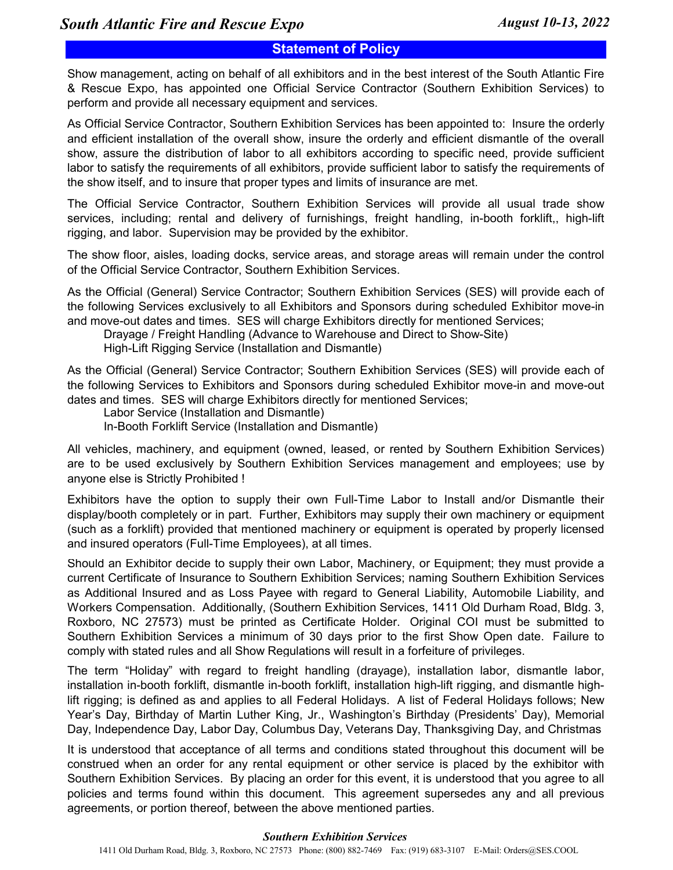## **Statement of Policy**

Show management, acting on behalf of all exhibitors and in the best interest of the South Atlantic Fire & Rescue Expo, has appointed one Official Service Contractor (Southern Exhibition Services) to perform and provide all necessary equipment and services.

As Official Service Contractor, Southern Exhibition Services has been appointed to: Insure the orderly and efficient installation of the overall show, insure the orderly and efficient dismantle of the overall show, assure the distribution of labor to all exhibitors according to specific need, provide sufficient labor to satisfy the requirements of all exhibitors, provide sufficient labor to satisfy the requirements of the show itself, and to insure that proper types and limits of insurance are met.

The Official Service Contractor, Southern Exhibition Services will provide all usual trade show services, including; rental and delivery of furnishings, freight handling, in-booth forklift,, high-lift rigging, and labor. Supervision may be provided by the exhibitor.

The show floor, aisles, loading docks, service areas, and storage areas will remain under the control of the Official Service Contractor, Southern Exhibition Services.

As the Official (General) Service Contractor; Southern Exhibition Services (SES) will provide each of the following Services exclusively to all Exhibitors and Sponsors during scheduled Exhibitor move-in and move-out dates and times. SES will charge Exhibitors directly for mentioned Services;

Drayage / Freight Handling (Advance to Warehouse and Direct to Show-Site)

High-Lift Rigging Service (Installation and Dismantle)

As the Official (General) Service Contractor; Southern Exhibition Services (SES) will provide each of the following Services to Exhibitors and Sponsors during scheduled Exhibitor move-in and move-out dates and times. SES will charge Exhibitors directly for mentioned Services;

Labor Service (Installation and Dismantle)

In-Booth Forklift Service (Installation and Dismantle)

All vehicles, machinery, and equipment (owned, leased, or rented by Southern Exhibition Services) are to be used exclusively by Southern Exhibition Services management and employees; use by anyone else is Strictly Prohibited !

Exhibitors have the option to supply their own Full-Time Labor to Install and/or Dismantle their display/booth completely or in part. Further, Exhibitors may supply their own machinery or equipment (such as a forklift) provided that mentioned machinery or equipment is operated by properly licensed and insured operators (Full-Time Employees), at all times.

Should an Exhibitor decide to supply their own Labor, Machinery, or Equipment; they must provide a current Certificate of Insurance to Southern Exhibition Services; naming Southern Exhibition Services as Additional Insured and as Loss Payee with regard to General Liability, Automobile Liability, and Workers Compensation. Additionally, (Southern Exhibition Services, 1411 Old Durham Road, Bldg. 3, Roxboro, NC 27573) must be printed as Certificate Holder. Original COI must be submitted to Southern Exhibition Services a minimum of 30 days prior to the first Show Open date. Failure to comply with stated rules and all Show Regulations will result in a forfeiture of privileges.

The term "Holiday" with regard to freight handling (drayage), installation labor, dismantle labor, installation in-booth forklift, dismantle in-booth forklift, installation high-lift rigging, and dismantle highlift rigging; is defined as and applies to all Federal Holidays. A list of Federal Holidays follows; New Year's Day, Birthday of Martin Luther King, Jr., Washington's Birthday (Presidents' Day), Memorial Day, Independence Day, Labor Day, Columbus Day, Veterans Day, Thanksgiving Day, and Christmas

It is understood that acceptance of all terms and conditions stated throughout this document will be construed when an order for any rental equipment or other service is placed by the exhibitor with Southern Exhibition Services. By placing an order for this event, it is understood that you agree to all policies and terms found within this document. This agreement supersedes any and all previous agreements, or portion thereof, between the above mentioned parties.

## *Southern Exhibition Services*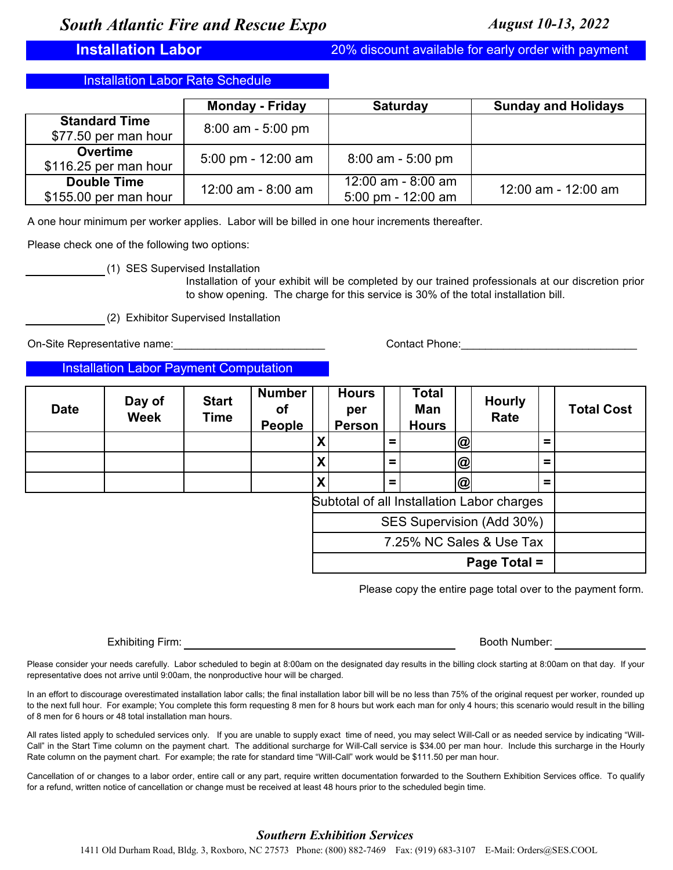**Installation Labor** 20% discount available for early order with payment

**Installation Labor Rate Schedule** 

|                       | <b>Monday - Friday</b> | <b>Saturday</b>                      | <b>Sunday and Holidays</b> |
|-----------------------|------------------------|--------------------------------------|----------------------------|
| <b>Standard Time</b>  | $8:00$ am - 5:00 pm    |                                      |                            |
| \$77.50 per man hour  |                        |                                      |                            |
| <b>Overtime</b>       | 5:00 pm - $12:00$ am   | $8:00$ am - 5:00 pm                  |                            |
| \$116.25 per man hour |                        |                                      |                            |
| <b>Double Time</b>    | $12:00$ am - 8:00 am   | $12:00$ am - 8:00 am                 | 12:00 am - 12:00 am        |
| \$155.00 per man hour |                        | $5:00 \text{ pm} - 12:00 \text{ am}$ |                            |

A one hour minimum per worker applies. Labor will be billed in one hour increments thereafter.

Please check one of the following two options:

(1) SES Supervised Installation

Installation of your exhibit will be completed by our trained professionals at our discretion prior to show opening. The charge for this service is 30% of the total installation bill.

(2) Exhibitor Supervised Installation

On-Site Representative name:

Contact Phone:\_\_\_\_\_\_\_\_\_\_\_\_\_\_\_\_\_\_\_\_\_\_\_\_\_\_\_\_\_

Installation Labor Payment Computation

| <b>Date</b> | Day of<br><b>Week</b> | <b>Start</b><br><b>Time</b> | <b>Number</b><br>Οf<br><b>People</b> |   | <b>Hours</b><br>per<br><b>Person</b> |          | Total<br>Man<br><b>Hours</b> |                | <b>Hourly</b><br>Rate                      |   | <b>Total Cost</b> |
|-------------|-----------------------|-----------------------------|--------------------------------------|---|--------------------------------------|----------|------------------------------|----------------|--------------------------------------------|---|-------------------|
|             |                       |                             |                                      | Χ |                                      | $\equiv$ |                              | $\circledcirc$ |                                            | = |                   |
|             |                       |                             |                                      | X |                                      | $=$      |                              | $\circledR$    |                                            | = |                   |
|             |                       |                             |                                      | Χ |                                      | $=$      |                              | $\circledcirc$ |                                            | = |                   |
|             |                       |                             |                                      |   |                                      |          |                              |                | Subtotal of all Installation Labor charges |   |                   |
|             |                       |                             |                                      |   |                                      |          |                              |                | SES Supervision (Add 30%)                  |   |                   |
|             |                       |                             |                                      |   |                                      |          |                              |                | 7.25% NC Sales & Use Tax                   |   |                   |
|             |                       |                             |                                      |   |                                      |          |                              |                | Page Total =                               |   |                   |

Please copy the entire page total over to the payment form.

Exhibiting Firm: **Booth Number:** Booth Number: **Booth Number:** Booth Number:

Please consider your needs carefully. Labor scheduled to begin at 8:00am on the designated day results in the billing clock starting at 8:00am on that day. If your representative does not arrive until 9:00am, the nonproductive hour will be charged.

In an effort to discourage overestimated installation labor calls; the final installation labor bill will be no less than 75% of the original request per worker, rounded up to the next full hour. For example; You complete this form requesting 8 men for 8 hours but work each man for only 4 hours; this scenario would result in the billing of 8 men for 6 hours or 48 total installation man hours.

All rates listed apply to scheduled services only. If you are unable to supply exact time of need, you may select Will-Call or as needed service by indicating "Will-Call" in the Start Time column on the payment chart. The additional surcharge for Will-Call service is \$34.00 per man hour. Include this surcharge in the Hourly Rate column on the payment chart. For example; the rate for standard time "Will-Call" work would be \$111.50 per man hour.

Cancellation of or changes to a labor order, entire call or any part, require written documentation forwarded to the Southern Exhibition Services office. To qualify for a refund, written notice of cancellation or change must be received at least 48 hours prior to the scheduled begin time.

## *Southern Exhibition Services*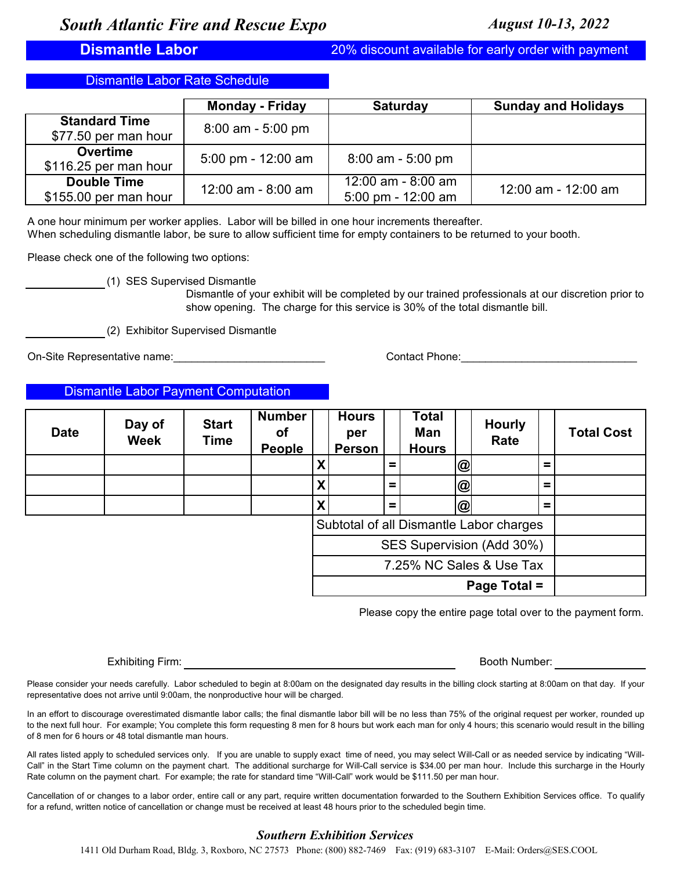**Dismantle Labor** 20% discount available for early order with payment

Dismantle Labor Rate Schedule

|                       | <b>Monday - Friday</b>               | <b>Saturday</b>                      | <b>Sunday and Holidays</b> |
|-----------------------|--------------------------------------|--------------------------------------|----------------------------|
| <b>Standard Time</b>  | $8:00$ am - 5:00 pm                  |                                      |                            |
| \$77.50 per man hour  |                                      |                                      |                            |
| <b>Overtime</b>       | $5:00 \text{ pm} - 12:00 \text{ am}$ | $8:00$ am - 5:00 pm                  |                            |
| \$116.25 per man hour |                                      |                                      |                            |
| <b>Double Time</b>    | $12:00$ am - 8:00 am                 | 12:00 am - 8:00 am                   | 12:00 am - 12:00 am        |
| \$155.00 per man hour |                                      | $5:00 \text{ pm} - 12:00 \text{ am}$ |                            |

A one hour minimum per worker applies. Labor will be billed in one hour increments thereafter.

When scheduling dismantle labor, be sure to allow sufficient time for empty containers to be returned to your booth.

Please check one of the following two options:

(1) SES Supervised Dismantle

Dismantle of your exhibit will be completed by our trained professionals at our discretion prior to show opening. The charge for this service is 30% of the total dismantle bill.

(2) Exhibitor Supervised Dismantle

On-Site Representative name: example and the set of the contact Phone: contact Phone:

Dismantle Labor Payment Computation

| <b>Date</b> | Day of<br><b>Week</b> | <b>Start</b><br><b>Time</b> | <b>Number</b><br>οf<br><b>People</b> |   | <b>Hours</b><br>per<br><b>Person</b> |          | Total<br>Man<br><b>Hours</b> |                | <b>Hourly</b><br>Rate                   |   | <b>Total Cost</b> |
|-------------|-----------------------|-----------------------------|--------------------------------------|---|--------------------------------------|----------|------------------------------|----------------|-----------------------------------------|---|-------------------|
|             |                       |                             |                                      | X |                                      | $\equiv$ |                              | $\circledcirc$ |                                         | = |                   |
|             |                       |                             |                                      | X |                                      | $\equiv$ |                              | $\circledcirc$ |                                         | Ξ |                   |
|             |                       |                             |                                      | X |                                      | $=$      |                              | $\circleda$    |                                         | = |                   |
|             |                       |                             |                                      |   |                                      |          |                              |                | Subtotal of all Dismantle Labor charges |   |                   |
|             |                       |                             |                                      |   |                                      |          |                              |                | SES Supervision (Add 30%)               |   |                   |
|             |                       |                             |                                      |   |                                      |          |                              |                | 7.25% NC Sales & Use Tax                |   |                   |
|             |                       |                             |                                      |   |                                      |          |                              |                | Page Total =                            |   |                   |

Please copy the entire page total over to the payment form.

Exhibiting Firm: Booth Number: Booth Number: Booth Number: Booth Number: Booth Number: Booth Number: Booth Number: Booth Number: Booth Number: Booth Number: Booth Number: Booth Number: Booth Number: Booth Number: Booth Num

Please consider your needs carefully. Labor scheduled to begin at 8:00am on the designated day results in the billing clock starting at 8:00am on that day. If your representative does not arrive until 9:00am, the nonproductive hour will be charged.

In an effort to discourage overestimated dismantle labor calls; the final dismantle labor bill will be no less than 75% of the original request per worker, rounded up to the next full hour. For example; You complete this form requesting 8 men for 8 hours but work each man for only 4 hours; this scenario would result in the billing of 8 men for 6 hours or 48 total dismantle man hours.

All rates listed apply to scheduled services only. If you are unable to supply exact time of need, you may select Will-Call or as needed service by indicating "Will-Call" in the Start Time column on the payment chart. The additional surcharge for Will-Call service is \$34.00 per man hour. Include this surcharge in the Hourly Rate column on the payment chart. For example; the rate for standard time "Will-Call" work would be \$111.50 per man hour.

Cancellation of or changes to a labor order, entire call or any part, require written documentation forwarded to the Southern Exhibition Services office. To qualify for a refund, written notice of cancellation or change must be received at least 48 hours prior to the scheduled begin time.

## *Southern Exhibition Services*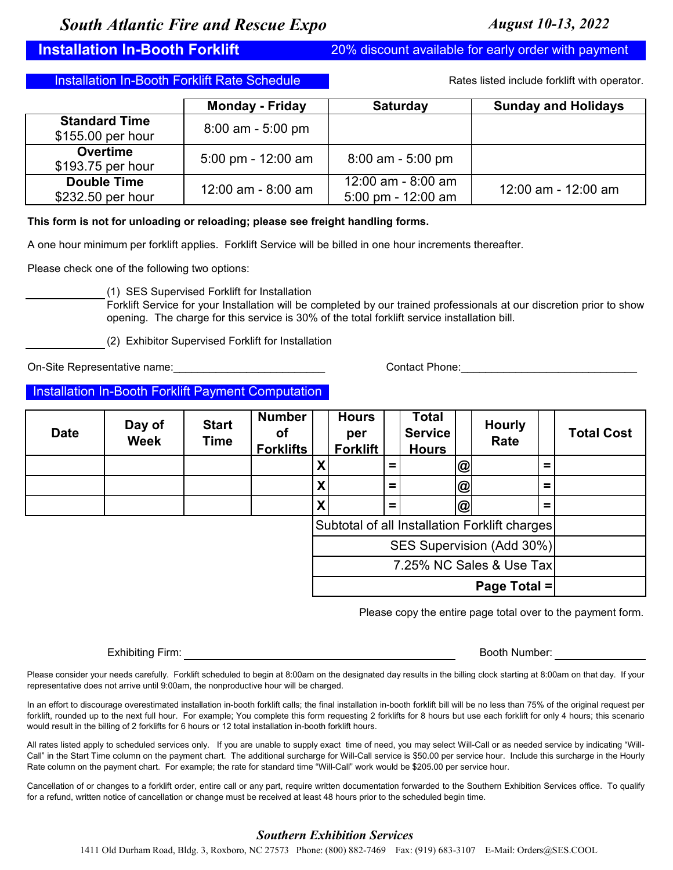**Installation In-Booth Forklift** 20% discount available for early order with payment

Installation In-Booth Forklift Rate Schedule **Rate Rates Include for Australian Contract** Rates listed include forklift with operator.

|                      | <b>Monday - Friday</b>               | <b>Saturday</b>                      | <b>Sunday and Holidays</b> |
|----------------------|--------------------------------------|--------------------------------------|----------------------------|
| <b>Standard Time</b> | $8:00$ am - 5:00 pm                  |                                      |                            |
| \$155.00 per hour    |                                      |                                      |                            |
| <b>Overtime</b>      | $5:00 \text{ pm} - 12:00 \text{ am}$ | $8:00$ am - 5:00 pm                  |                            |
| \$193.75 per hour    |                                      |                                      |                            |
| <b>Double Time</b>   | $12:00$ am - 8:00 am                 | 12:00 am - 8:00 am                   | 12:00 am - 12:00 am        |
| \$232.50 per hour    |                                      | $5:00 \text{ pm} - 12:00 \text{ am}$ |                            |

## **This form is not for unloading or reloading; please see freight handling forms.**

A one hour minimum per forklift applies. Forklift Service will be billed in one hour increments thereafter.

Please check one of the following two options:

(1) SES Supervised Forklift for Installation

Forklift Service for your Installation will be completed by our trained professionals at our discretion prior to show opening. The charge for this service is 30% of the total forklift service installation bill.

(2) Exhibitor Supervised Forklift for Installation

On-Site Representative name: example and the set of the Contact Phone:

## **Installation In-Booth Forklift Payment Computation**

| <b>Date</b> | Day of<br><b>Week</b> | <b>Start</b><br>Time | <b>Number</b><br>οf<br><b>Forklifts</b> |                           | <b>Hours</b><br>per<br><b>Forklift</b> |          | Total<br><b>Service</b><br><b>Hours</b> |             | <b>Hourly</b><br>Rate                         |          | <b>Total Cost</b> |
|-------------|-----------------------|----------------------|-----------------------------------------|---------------------------|----------------------------------------|----------|-----------------------------------------|-------------|-----------------------------------------------|----------|-------------------|
|             |                       |                      |                                         | X                         |                                        | =        |                                         | $\circledR$ |                                               | =        |                   |
|             |                       |                      |                                         | X                         |                                        | $\equiv$ |                                         | @           |                                               | $\equiv$ |                   |
|             |                       |                      |                                         | $\boldsymbol{\mathsf{X}}$ |                                        | $\equiv$ |                                         | @           |                                               | =        |                   |
|             |                       |                      |                                         |                           |                                        |          |                                         |             | Subtotal of all Installation Forklift charges |          |                   |
|             |                       |                      |                                         |                           |                                        |          |                                         |             | SES Supervision (Add 30%)                     |          |                   |
|             |                       |                      |                                         |                           |                                        |          |                                         |             | 7.25% NC Sales & Use Tax                      |          |                   |
|             |                       |                      |                                         |                           |                                        |          |                                         |             | Page Total =                                  |          |                   |

Please copy the entire page total over to the payment form.

Exhibiting Firm:

Booth Number:

Please consider your needs carefully. Forklift scheduled to begin at 8:00am on the designated day results in the billing clock starting at 8:00am on that day. If your representative does not arrive until 9:00am, the nonproductive hour will be charged.

In an effort to discourage overestimated installation in-booth forklift calls; the final installation in-booth forklift bill will be no less than 75% of the original request per forklift, rounded up to the next full hour. For example; You complete this form requesting 2 forklifts for 8 hours but use each forklift for only 4 hours; this scenario would result in the billing of 2 forklifts for 6 hours or 12 total installation in-booth forklift hours.

All rates listed apply to scheduled services only. If you are unable to supply exact time of need, you may select Will-Call or as needed service by indicating "Will-Call" in the Start Time column on the payment chart. The additional surcharge for Will-Call service is \$50.00 per service hour. Include this surcharge in the Hourly Rate column on the payment chart. For example; the rate for standard time "Will-Call" work would be \$205.00 per service hour.

Cancellation of or changes to a forklift order, entire call or any part, require written documentation forwarded to the Southern Exhibition Services office. To qualify for a refund, written notice of cancellation or change must be received at least 48 hours prior to the scheduled begin time.

## *Southern Exhibition Services*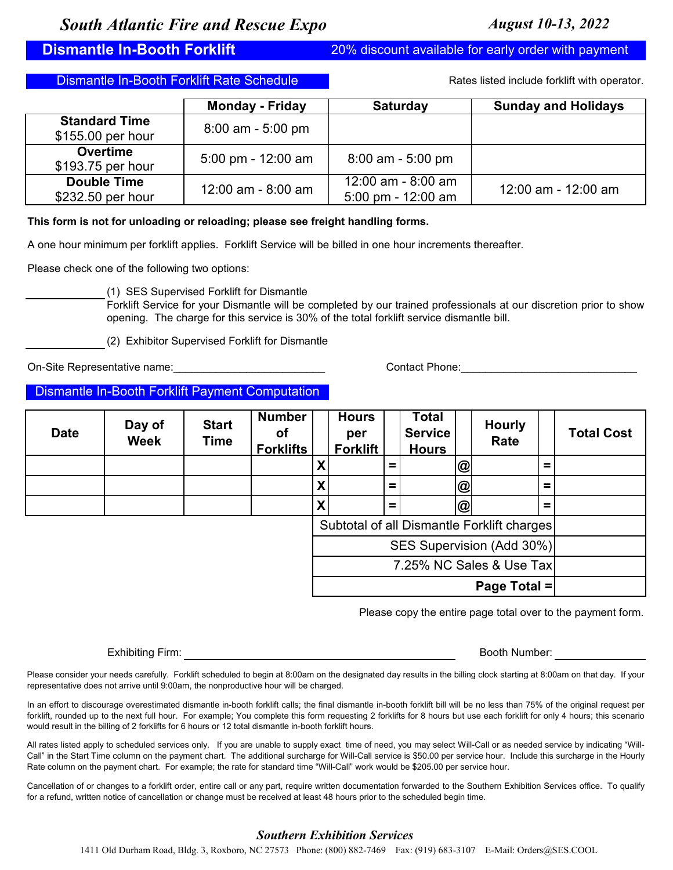**Dismantle In-Booth Forklift** 20% discount available for early order with payment

Dismantle In-Booth Forklift Rate Schedule

Rates listed include forklift with operator.

|                      | <b>Monday - Friday</b> | <b>Saturday</b>      | <b>Sunday and Holidays</b> |
|----------------------|------------------------|----------------------|----------------------------|
| <b>Standard Time</b> | $8:00$ am - 5:00 pm    |                      |                            |
| \$155.00 per hour    |                        |                      |                            |
| <b>Overtime</b>      | 5:00 pm - $12:00$ am   | $8:00$ am - 5:00 pm  |                            |
| \$193.75 per hour    |                        |                      |                            |
| <b>Double Time</b>   | $12:00$ am - 8:00 am   | 12:00 am - 8:00 am   | 12:00 am - 12:00 am        |
| \$232.50 per hour    |                        | 5:00 pm - $12:00$ am |                            |

## **This form is not for unloading or reloading; please see freight handling forms.**

A one hour minimum per forklift applies. Forklift Service will be billed in one hour increments thereafter.

Please check one of the following two options:

(1) SES Supervised Forklift for Dismantle

Forklift Service for your Dismantle will be completed by our trained professionals at our discretion prior to show opening. The charge for this service is 30% of the total forklift service dismantle bill.

(2) Exhibitor Supervised Forklift for Dismantle

On-Site Representative name: example and the set of the Site Representative name:

## Dismantle In-Booth Forklift Payment Computation

| <b>Date</b> | Day of<br><b>Week</b> | <b>Start</b><br><b>Time</b> | <b>Number</b><br>οt<br><b>Forklifts</b> |   | <b>Hours</b><br>per<br><b>Forklift</b> |          | <b>Total</b><br><b>Service</b><br><b>Hours</b> |                | <b>Hourly</b><br>Rate                      |          | <b>Total Cost</b> |
|-------------|-----------------------|-----------------------------|-----------------------------------------|---|----------------------------------------|----------|------------------------------------------------|----------------|--------------------------------------------|----------|-------------------|
|             |                       |                             |                                         | X |                                        | $\equiv$ |                                                | $\circledcirc$ |                                            | $\equiv$ |                   |
|             |                       |                             |                                         | X |                                        | $\equiv$ |                                                | $\circledcirc$ |                                            | =        |                   |
|             |                       |                             |                                         | X |                                        | $\equiv$ |                                                | $\circleda$    |                                            | =        |                   |
|             |                       |                             |                                         |   |                                        |          |                                                |                | Subtotal of all Dismantle Forklift charges |          |                   |
|             |                       |                             |                                         |   |                                        |          |                                                |                | SES Supervision (Add 30%)                  |          |                   |
|             |                       |                             |                                         |   |                                        |          |                                                |                | 7.25% NC Sales & Use Tax                   |          |                   |
|             |                       |                             |                                         |   |                                        |          |                                                |                | Page Total =                               |          |                   |

Please copy the entire page total over to the payment form.

Exhibiting Firm: Booth Number: Booth Number: Booth Number: Booth Number: Booth Number: Booth Number: Booth Number: Booth Number: Booth Number: Booth Number: Booth Number: Booth Number: Booth Number: Booth Number: Booth Num

Please consider your needs carefully. Forklift scheduled to begin at 8:00am on the designated day results in the billing clock starting at 8:00am on that day. If your representative does not arrive until 9:00am, the nonproductive hour will be charged.

In an effort to discourage overestimated dismantle in-booth forklift calls; the final dismantle in-booth forklift bill will be no less than 75% of the original request per forklift, rounded up to the next full hour. For example; You complete this form requesting 2 forklifts for 8 hours but use each forklift for only 4 hours; this scenario would result in the billing of 2 forklifts for 6 hours or 12 total dismantle in-booth forklift hours.

All rates listed apply to scheduled services only. If you are unable to supply exact time of need, you may select Will-Call or as needed service by indicating "Will-Call" in the Start Time column on the payment chart. The additional surcharge for Will-Call service is \$50.00 per service hour. Include this surcharge in the Hourly Rate column on the payment chart. For example; the rate for standard time "Will-Call" work would be \$205.00 per service hour.

Cancellation of or changes to a forklift order, entire call or any part, require written documentation forwarded to the Southern Exhibition Services office. To qualify for a refund, written notice of cancellation or change must be received at least 48 hours prior to the scheduled begin time.

## *Southern Exhibition Services*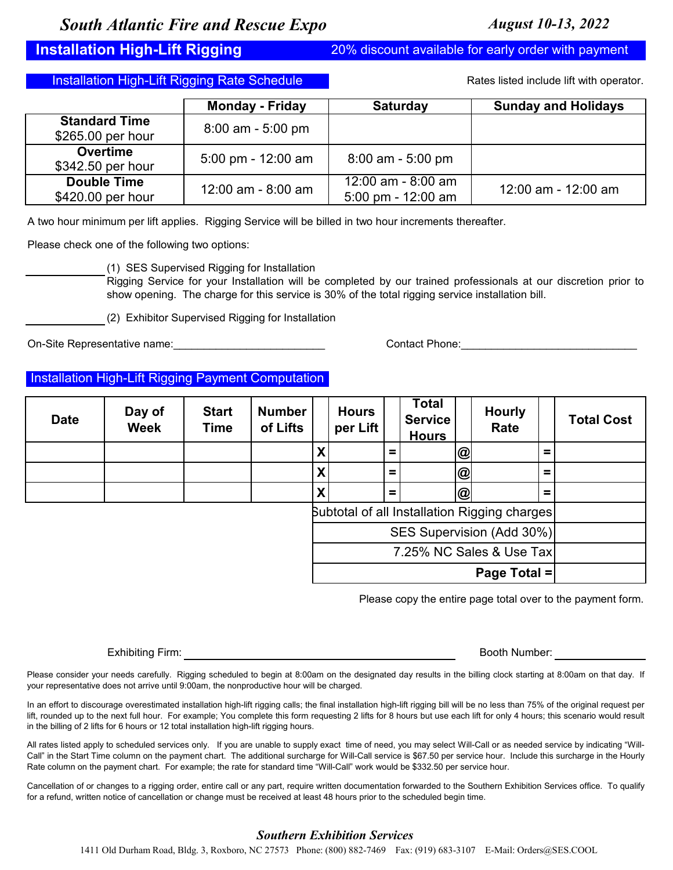**Installation High-Lift Rigging** 20% discount available for early order with payment

Installation High-Lift Rigging Rate Schedule

Rates listed include lift with operator.

|                                           | <b>Monday - Friday</b> | <b>Saturday</b>                                              | <b>Sunday and Holidays</b> |
|-------------------------------------------|------------------------|--------------------------------------------------------------|----------------------------|
| <b>Standard Time</b><br>\$265.00 per hour | $8:00$ am - 5:00 pm    |                                                              |                            |
| <b>Overtime</b><br>\$342.50 per hour      | 5:00 pm - $12:00$ am   | $8:00$ am - 5:00 pm                                          |                            |
| <b>Double Time</b><br>\$420.00 per hour   | $12:00$ am - 8:00 am   | $12:00$ am - 8:00 am<br>$5:00 \text{ pm} - 12:00 \text{ am}$ | 12:00 am - 12:00 am        |

A two hour minimum per lift applies. Rigging Service will be billed in two hour increments thereafter.

Please check one of the following two options:

(1) SES Supervised Rigging for Installation

Rigging Service for your Installation will be completed by our trained professionals at our discretion prior to show opening. The charge for this service is 30% of the total rigging service installation bill.

(2) Exhibitor Supervised Rigging for Installation

On-Site Representative name: example and the set of the Contact Phone:

**Installation High-Lift Rigging Payment Computation** 

| <b>Date</b> | Day of<br><b>Week</b> | <b>Start</b><br><b>Time</b> | <b>Number</b><br>of Lifts |   | <b>Hours</b><br>per Lift |     | Total<br><b>Service</b><br><b>Hours</b> |                | <b>Hourly</b><br>Rate                        |   | <b>Total Cost</b> |
|-------------|-----------------------|-----------------------------|---------------------------|---|--------------------------|-----|-----------------------------------------|----------------|----------------------------------------------|---|-------------------|
|             |                       |                             |                           | Χ |                          | Ξ.  |                                         | <b>@</b>       |                                              | = |                   |
|             |                       |                             |                           | X |                          | $=$ |                                         | $\circledcirc$ |                                              | Ξ |                   |
|             |                       |                             |                           | χ |                          | $=$ |                                         | $\circleda$    |                                              | Ξ |                   |
|             |                       |                             |                           |   |                          |     |                                         |                | Subtotal of all Installation Rigging charges |   |                   |
|             |                       |                             |                           |   |                          |     |                                         |                | SES Supervision (Add 30%)                    |   |                   |
|             |                       |                             |                           |   |                          |     |                                         |                | 7.25% NC Sales & Use Tax                     |   |                   |
|             |                       |                             |                           |   |                          |     |                                         |                | Page Total =                                 |   |                   |

Please copy the entire page total over to the payment form.

Exhibiting Firm: Booth Number: Booth Number: Booth Number: Booth Number: Booth Number: Booth Number: Booth Number: Booth Number: Booth Number: Booth Number: Booth Number: Booth Number: Booth Number: Booth Number: Booth Num

Please consider your needs carefully. Rigging scheduled to begin at 8:00am on the designated day results in the billing clock starting at 8:00am on that day. If your representative does not arrive until 9:00am, the nonproductive hour will be charged.

In an effort to discourage overestimated installation high-lift rigging calls; the final installation high-lift rigging bill will be no less than 75% of the original request per lift, rounded up to the next full hour. For example; You complete this form requesting 2 lifts for 8 hours but use each lift for only 4 hours; this scenario would result in the billing of 2 lifts for 6 hours or 12 total installation high-lift rigging hours.

All rates listed apply to scheduled services only. If you are unable to supply exact time of need, you may select Will-Call or as needed service by indicating "Will-Call" in the Start Time column on the payment chart. The additional surcharge for Will-Call service is \$67.50 per service hour. Include this surcharge in the Hourly Rate column on the payment chart. For example; the rate for standard time "Will-Call" work would be \$332.50 per service hour.

Cancellation of or changes to a rigging order, entire call or any part, require written documentation forwarded to the Southern Exhibition Services office. To qualify for a refund, written notice of cancellation or change must be received at least 48 hours prior to the scheduled begin time.

## *Southern Exhibition Services*